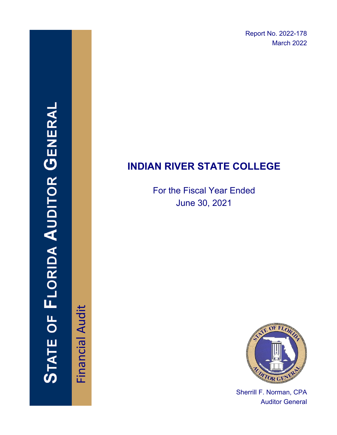Report No. 2022-178 March 2022

# STATE OF FLORIDA AUDITOR GENERAI

Financial Audit Financial Audit

# **INDIAN RIVER STATE COLLEGE**

For the Fiscal Year Ended June 30, 2021



Sherrill F. Norman, CPA Auditor General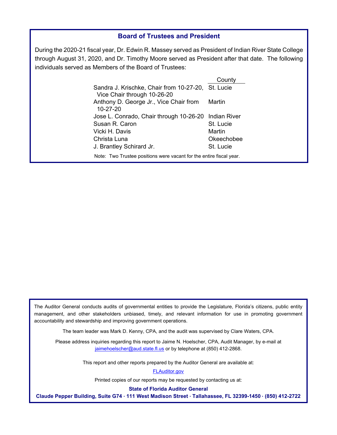#### **Board of Trustees and President**

During the 2020-21 fiscal year, Dr. Edwin R. Massey served as President of Indian River State College through August 31, 2020, and Dr. Timothy Moore served as President after that date. The following individuals served as Members of the Board of Trustees:

|                                                                     | County     |
|---------------------------------------------------------------------|------------|
| Sandra J. Krischke, Chair from 10-27-20, St. Lucie                  |            |
| Vice Chair through 10-26-20                                         |            |
| Anthony D. George Jr., Vice Chair from                              | Martin     |
| 10-27-20                                                            |            |
| Jose L. Conrado, Chair through 10-26-20 Indian River                |            |
| Susan R. Caron                                                      | St. Lucie  |
| Vicki H. Davis                                                      | Martin     |
| Christa Luna                                                        | Okeechobee |
| J. Brantley Schirard Jr.                                            | St. Lucie  |
| Note: Two Trustee positions were vacant for the entire fiscal year. |            |

The Auditor General conducts audits of governmental entities to provide the Legislature, Florida's citizens, public entity management, and other stakeholders unbiased, timely, and relevant information for use in promoting government accountability and stewardship and improving government operations.

The team leader was Mark D. Kenny, CPA, and the audit was supervised by Clare Waters, CPA.

Please address inquiries regarding this report to Jaime N. Hoelscher, CPA, Audit Manager, by e-mail at jaimehoelscher@aud.state.fl.us or by telephone at (850) 412-2868.

This report and other reports prepared by the Auditor General are available at:

[FLAuditor.gov](http://flauditor.gov/) 

Printed copies of our reports may be requested by contacting us at:

**State of Florida Auditor General** 

**Claude Pepper Building, Suite G74 · 111 West Madison Street · Tallahassee, FL 32399-1450 · (850) 412-2722**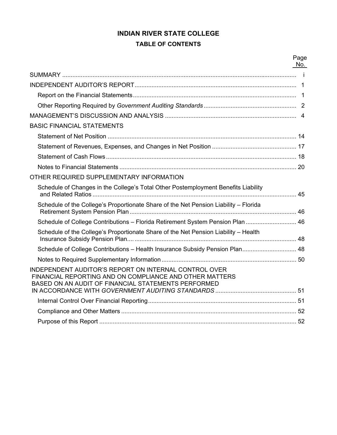# **INDIAN RIVER STATE COLLEGE TABLE OF CONTENTS**

|                                                                                                                                                                         | Page<br>No. |
|-------------------------------------------------------------------------------------------------------------------------------------------------------------------------|-------------|
|                                                                                                                                                                         |             |
|                                                                                                                                                                         |             |
|                                                                                                                                                                         |             |
|                                                                                                                                                                         |             |
|                                                                                                                                                                         |             |
| <b>BASIC FINANCIAL STATEMENTS</b>                                                                                                                                       |             |
|                                                                                                                                                                         |             |
|                                                                                                                                                                         |             |
|                                                                                                                                                                         |             |
|                                                                                                                                                                         |             |
| OTHER REQUIRED SUPPLEMENTARY INFORMATION                                                                                                                                |             |
| Schedule of Changes in the College's Total Other Postemployment Benefits Liability                                                                                      |             |
| Schedule of the College's Proportionate Share of the Net Pension Liability - Florida                                                                                    |             |
| Schedule of College Contributions - Florida Retirement System Pension Plan  46                                                                                          |             |
| Schedule of the College's Proportionate Share of the Net Pension Liability - Health                                                                                     |             |
| Schedule of College Contributions - Health Insurance Subsidy Pension Plan 48                                                                                            |             |
|                                                                                                                                                                         |             |
| INDEPENDENT AUDITOR'S REPORT ON INTERNAL CONTROL OVER<br>FINANCIAL REPORTING AND ON COMPLIANCE AND OTHER MATTERS<br>BASED ON AN AUDIT OF FINANCIAL STATEMENTS PERFORMED |             |
|                                                                                                                                                                         |             |
|                                                                                                                                                                         |             |
|                                                                                                                                                                         |             |
|                                                                                                                                                                         |             |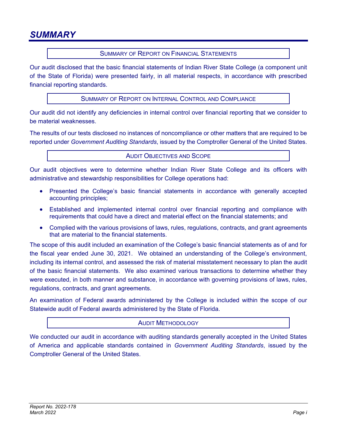## SUMMARY OF REPORT ON FINANCIAL STATEMENTS

<span id="page-3-0"></span>Our audit disclosed that the basic financial statements of Indian River State College (a component unit of the State of Florida) were presented fairly, in all material respects, in accordance with prescribed financial reporting standards.

SUMMARY OF REPORT ON INTERNAL CONTROL AND COMPLIANCE

Our audit did not identify any deficiencies in internal control over financial reporting that we consider to be material weaknesses.

The results of our tests disclosed no instances of noncompliance or other matters that are required to be reported under *Government Auditing Standards*, issued by the Comptroller General of the United States.

#### AUDIT OBJECTIVES AND SCOPE

Our audit objectives were to determine whether Indian River State College and its officers with administrative and stewardship responsibilities for College operations had:

- Presented the College's basic financial statements in accordance with generally accepted accounting principles;
- Established and implemented internal control over financial reporting and compliance with requirements that could have a direct and material effect on the financial statements; and
- Complied with the various provisions of laws, rules, regulations, contracts, and grant agreements that are material to the financial statements.

The scope of this audit included an examination of the College's basic financial statements as of and for the fiscal year ended June 30, 2021. We obtained an understanding of the College's environment, including its internal control, and assessed the risk of material misstatement necessary to plan the audit of the basic financial statements. We also examined various transactions to determine whether they were executed, in both manner and substance, in accordance with governing provisions of laws, rules, regulations, contracts, and grant agreements.

An examination of Federal awards administered by the College is included within the scope of our Statewide audit of Federal awards administered by the State of Florida.

# AUDIT METHODOLOGY

We conducted our audit in accordance with auditing standards generally accepted in the United States of America and applicable standards contained in *Government Auditing Standards*, issued by the Comptroller General of the United States.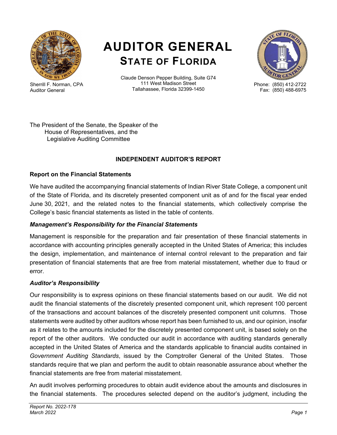<span id="page-4-0"></span>

Sherrill F. Norman, CPA Auditor General

# **AUDITOR GENERAL STATE OF FLORIDA**

Claude Denson Pepper Building, Suite G74 111 West Madison Street Tallahassee, Florida 32399-1450



Phone: (850) 412-2722 Fax: (850) 488-6975

The President of the Senate, the Speaker of the House of Representatives, and the Legislative Auditing Committee

# **INDEPENDENT AUDITOR'S REPORT**

# **Report on the Financial Statements**

We have audited the accompanying financial statements of Indian River State College, a component unit of the State of Florida, and its discretely presented component unit as of and for the fiscal year ended June 30, 2021, and the related notes to the financial statements, which collectively comprise the College's basic financial statements as listed in the table of contents.

# *Management's Responsibility for the Financial Statements*

Management is responsible for the preparation and fair presentation of these financial statements in accordance with accounting principles generally accepted in the United States of America; this includes the design, implementation, and maintenance of internal control relevant to the preparation and fair presentation of financial statements that are free from material misstatement, whether due to fraud or error.

# *Auditor's Responsibility*

Our responsibility is to express opinions on these financial statements based on our audit. We did not audit the financial statements of the discretely presented component unit, which represent 100 percent of the transactions and account balances of the discretely presented component unit columns. Those statements were audited by other auditors whose report has been furnished to us, and our opinion, insofar as it relates to the amounts included for the discretely presented component unit, is based solely on the report of the other auditors. We conducted our audit in accordance with auditing standards generally accepted in the United States of America and the standards applicable to financial audits contained in *Government Auditing Standards*, issued by the Comptroller General of the United States. Those standards require that we plan and perform the audit to obtain reasonable assurance about whether the financial statements are free from material misstatement.

An audit involves performing procedures to obtain audit evidence about the amounts and disclosures in the financial statements. The procedures selected depend on the auditor's judgment, including the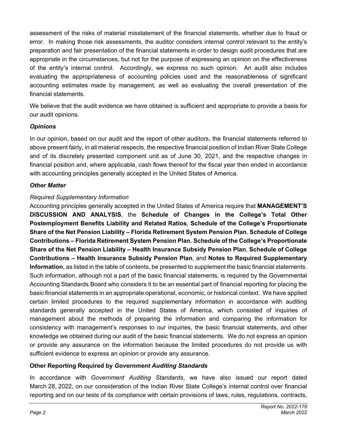<span id="page-5-0"></span>assessment of the risks of material misstatement of the financial statements, whether due to fraud or error. In making those risk assessments, the auditor considers internal control relevant to the entity's preparation and fair presentation of the financial statements in order to design audit procedures that are appropriate in the circumstances, but not for the purpose of expressing an opinion on the effectiveness of the entity's internal control. Accordingly, we express no such opinion. An audit also includes evaluating the appropriateness of accounting policies used and the reasonableness of significant accounting estimates made by management, as well as evaluating the overall presentation of the financial statements.

We believe that the audit evidence we have obtained is sufficient and appropriate to provide a basis for our audit opinions.

# *Opinions*

In our opinion, based on our audit and the report of other auditors, the financial statements referred to above present fairly, in all material respects, the respective financial position of Indian River State College and of its discretely presented component unit as of June 30, 2021, and the respective changes in financial position and, where applicable, cash flows thereof for the fiscal year then ended in accordance with accounting principles generally accepted in the United States of America.

# *Other Matter*

# *Required Supplementary Information*

Accounting principles generally accepted in the United States of America require that **MANAGEMENT'S DISCUSSION AND ANALYSIS**, the **Schedule of Changes in the College's Total Other Postemployment Benefits Liability and Related Ratios**, **Schedule of the College's Proportionate Share of the Net Pension Liability – Florida Retirement System Pension Plan**, **Schedule of College Contributions – Florida Retirement System Pension Plan**, **Schedule of the College's Proportionate Share of the Net Pension Liability – Health Insurance Subsidy Pension Plan**, **Schedule of College Contributions – Health Insurance Subsidy Pension Plan**, and **Notes to Required Supplementary Information**, as listed in the table of contents, be presented to supplement the basic financial statements. Such information, although not a part of the basic financial statements, is required by the Governmental Accounting Standards Board who considers it to be an essential part of financial reporting for placing the basic financial statements in an appropriate operational, economic, or historical context. We have applied certain limited procedures to the required supplementary information in accordance with auditing standards generally accepted in the United States of America, which consisted of inquiries of management about the methods of preparing the information and comparing the information for consistency with management's responses to our inquiries, the basic financial statements, and other knowledge we obtained during our audit of the basic financial statements. We do not express an opinion or provide any assurance on the information because the limited procedures do not provide us with sufficient evidence to express an opinion or provide any assurance.

# **Other Reporting Required by** *Government Auditing Standards*

In accordance with *Government Auditing Standards*, we have also issued our report dated March 28, 2022, on our consideration of the Indian River State College's internal control over financial reporting and on our tests of its compliance with certain provisions of laws, rules, regulations, contracts,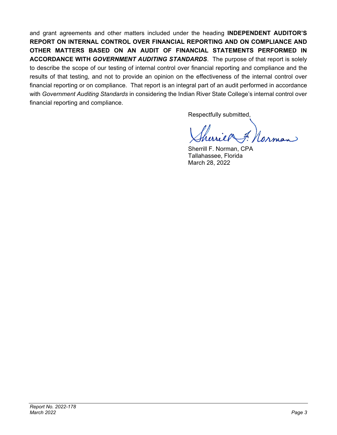and grant agreements and other matters included under the heading **INDEPENDENT AUDITOR'S REPORT ON INTERNAL CONTROL OVER FINANCIAL REPORTING AND ON COMPLIANCE AND OTHER MATTERS BASED ON AN AUDIT OF FINANCIAL STATEMENTS PERFORMED IN ACCORDANCE WITH** *GOVERNMENT AUDITING STANDARDS*. The purpose of that report is solely to describe the scope of our testing of internal control over financial reporting and compliance and the results of that testing, and not to provide an opinion on the effectiveness of the internal control over financial reporting or on compliance. That report is an integral part of an audit performed in accordance with *Government Auditing Standards* in considering the Indian River State College's internal control over financial reporting and compliance.

Respectfully submitted,

Sherrill F. Norman, CPA Tallahassee, Florida March 28, 2022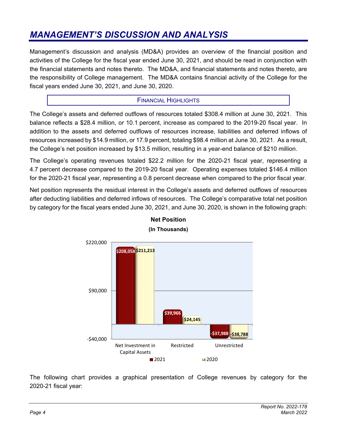# <span id="page-7-0"></span>*MANAGEMENT'S DISCUSSION AND ANALYSIS*

Management's discussion and analysis (MD&A) provides an overview of the financial position and activities of the College for the fiscal year ended June 30, 2021, and should be read in conjunction with the financial statements and notes thereto. The MD&A, and financial statements and notes thereto, are the responsibility of College management. The MD&A contains financial activity of the College for the fiscal years ended June 30, 2021, and June 30, 2020.

# FINANCIAL HIGHLIGHTS

The College's assets and deferred outflows of resources totaled \$308.4 million at June 30, 2021. This balance reflects a \$28.4 million, or 10.1 percent, increase as compared to the 2019-20 fiscal year. In addition to the assets and deferred outflows of resources increase, liabilities and deferred inflows of resources increased by \$14.9 million, or 17.9 percent, totaling \$98.4 million at June 30, 2021. As a result, the College's net position increased by \$13.5 million, resulting in a year-end balance of \$210 million.

The College's operating revenues totaled \$22.2 million for the 2020-21 fiscal year, representing a 4.7 percent decrease compared to the 2019-20 fiscal year. Operating expenses totaled \$146.4 million for the 2020-21 fiscal year, representing a 0.8 percent decrease when compared to the prior fiscal year.

Net position represents the residual interest in the College's assets and deferred outflows of resources after deducting liabilities and deferred inflows of resources. The College's comparative total net position by category for the fiscal years ended June 30, 2021, and June 30, 2020, is shown in the following graph:



# **Net Position (In Thousands)**

The following chart provides a graphical presentation of College revenues by category for the 2020-21 fiscal year: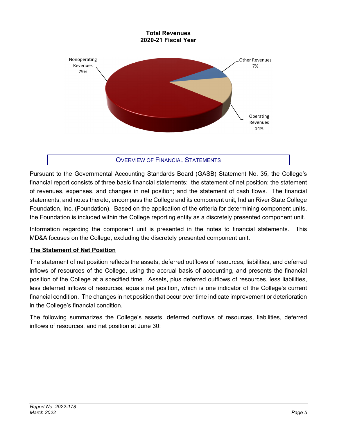

# OVERVIEW OF FINANCIAL STATEMENTS

Pursuant to the Governmental Accounting Standards Board (GASB) Statement No. 35, the College's financial report consists of three basic financial statements: the statement of net position; the statement of revenues, expenses, and changes in net position; and the statement of cash flows. The financial statements, and notes thereto, encompass the College and its component unit, Indian River State College Foundation, Inc. (Foundation). Based on the application of the criteria for determining component units, the Foundation is included within the College reporting entity as a discretely presented component unit.

Information regarding the component unit is presented in the notes to financial statements. This MD&A focuses on the College, excluding the discretely presented component unit.

# **The Statement of Net Position**

The statement of net position reflects the assets, deferred outflows of resources, liabilities, and deferred inflows of resources of the College, using the accrual basis of accounting, and presents the financial position of the College at a specified time. Assets, plus deferred outflows of resources, less liabilities, less deferred inflows of resources, equals net position, which is one indicator of the College's current financial condition. The changes in net position that occur over time indicate improvement or deterioration in the College's financial condition.

The following summarizes the College's assets, deferred outflows of resources, liabilities, deferred inflows of resources, and net position at June 30: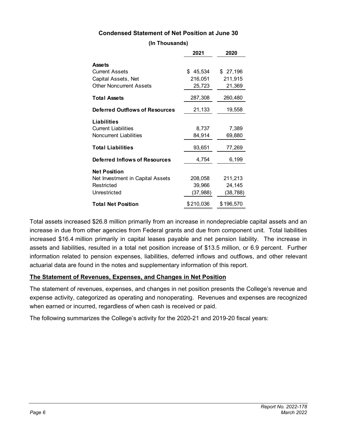# **Condensed Statement of Net Position at June 30**

**(In Thousands)** 

|                                       | 2021         | 2020      |
|---------------------------------------|--------------|-----------|
| <b>Assets</b>                         |              |           |
| <b>Current Assets</b>                 | 45,534<br>\$ | \$27,196  |
| Capital Assets, Net                   | 216,051      | 211,915   |
| <b>Other Noncurrent Assets</b>        | 25,723       | 21,369    |
| <b>Total Assets</b>                   | 287,308      | 260,480   |
| <b>Deferred Outflows of Resources</b> | 21,133       | 19,558    |
| Liabilities                           |              |           |
| <b>Current Liabilities</b>            | 8,737        | 7,389     |
| <b>Noncurrent Liabilities</b>         | 84,914       | 69,880    |
| <b>Total Liabilities</b>              | 93,651       | 77,269    |
| <b>Deferred Inflows of Resources</b>  | 4,754        | 6,199     |
| <b>Net Position</b>                   |              |           |
| Net Investment in Capital Assets      | 208,058      | 211,213   |
| Restricted                            | 39,966       | 24,145    |
| Unrestricted                          | (37, 988)    | (38, 788) |
| <b>Total Net Position</b>             | \$210,036    | \$196,570 |

Total assets increased \$26.8 million primarily from an increase in nondepreciable capital assets and an increase in due from other agencies from Federal grants and due from component unit. Total liabilities increased \$16.4 million primarily in capital leases payable and net pension liability. The increase in assets and liabilities, resulted in a total net position increase of \$13.5 million, or 6.9 percent. Further information related to pension expenses, liabilities, deferred inflows and outflows, and other relevant actuarial data are found in the notes and supplementary information of this report.

#### **The Statement of Revenues, Expenses, and Changes in Net Position**

The statement of revenues, expenses, and changes in net position presents the College's revenue and expense activity, categorized as operating and nonoperating. Revenues and expenses are recognized when earned or incurred, regardless of when cash is received or paid.

The following summarizes the College's activity for the 2020-21 and 2019-20 fiscal years: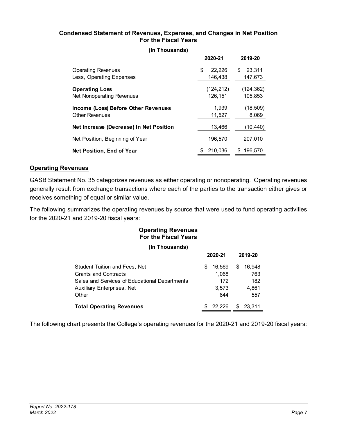## **Condensed Statement of Revenues, Expenses, and Changes in Net Position For the Fiscal Years**

| (In Thousands) |  |
|----------------|--|
|                |  |

|                                                              | 2020-21                 | 2019-20                 |  |  |
|--------------------------------------------------------------|-------------------------|-------------------------|--|--|
| <b>Operating Revenues</b><br>Less, Operating Expenses        | \$<br>22,226<br>146,438 | 23.311<br>\$<br>147,673 |  |  |
| <b>Operating Loss</b><br>Net Nonoperating Revenues           | (124, 212)<br>126,151   | (124,362)<br>105,853    |  |  |
| Income (Loss) Before Other Revenues<br><b>Other Revenues</b> | 1,939<br>11,527         | (18, 509)<br>8,069      |  |  |
| Net Increase (Decrease) In Net Position                      | 13,466                  | (10,440)                |  |  |
| Net Position, Beginning of Year                              | 196,570                 | 207,010                 |  |  |
| <b>Net Position, End of Year</b>                             | 210.036<br>\$           | 196,570<br>S            |  |  |

#### **Operating Revenues**

GASB Statement No. 35 categorizes revenues as either operating or nonoperating. Operating revenues generally result from exchange transactions where each of the parties to the transaction either gives or receives something of equal or similar value.

The following summarizes the operating revenues by source that were used to fund operating activities for the 2020-21 and 2019-20 fiscal years:

# **Operating Revenues For the Fiscal Years**

#### **(In Thousands)**

|                                               |   | 2020-21 | 2019-20 |        |  |
|-----------------------------------------------|---|---------|---------|--------|--|
| Student Tuition and Fees, Net                 | S | 16.569  | \$      | 16.948 |  |
| Grants and Contracts                          |   | 1.068   |         | 763    |  |
| Sales and Services of Educational Departments |   | 172     |         | 182    |  |
| <b>Auxiliary Enterprises, Net</b>             |   | 3,573   |         | 4,861  |  |
| Other                                         |   | 844     |         | 557    |  |
| <b>Total Operating Revenues</b>               |   | 22.226  | S       | 23,311 |  |

The following chart presents the College's operating revenues for the 2020-21 and 2019-20 fiscal years: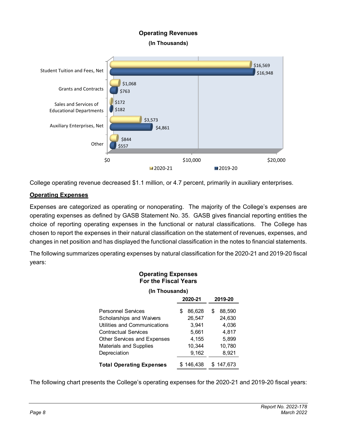

College operating revenue decreased \$1.1 million, or 4.7 percent, primarily in auxiliary enterprises.

# **Operating Expenses**

Expenses are categorized as operating or nonoperating. The majority of the College's expenses are operating expenses as defined by GASB Statement No. 35. GASB gives financial reporting entities the choice of reporting operating expenses in the functional or natural classifications. The College has chosen to report the expenses in their natural classification on the statement of revenues, expenses, and changes in net position and has displayed the functional classification in the notes to financial statements.

The following summarizes operating expenses by natural classification for the 2020-21 and 2019-20 fiscal years:

#### **Operating Expenses For the Fiscal Years (In Thousands)**

| (in Thousangs)                                                                                                                                                                              |         |                                                       |    |                                                       |
|---------------------------------------------------------------------------------------------------------------------------------------------------------------------------------------------|---------|-------------------------------------------------------|----|-------------------------------------------------------|
|                                                                                                                                                                                             | 2020-21 |                                                       |    | 2019-20                                               |
| <b>Personnel Services</b><br>Scholarships and Waivers<br>Utilities and Communications<br><b>Contractual Services</b><br><b>Other Services and Expenses</b><br><b>Materials and Supplies</b> | \$      | 86,628<br>26,547<br>3,941<br>5,661<br>4,155<br>10,344 | \$ | 88,590<br>24,630<br>4,036<br>4,817<br>5,899<br>10,780 |
| Depreciation                                                                                                                                                                                |         | 9,162                                                 |    | 8,921                                                 |
| <b>Total Operating Expenses</b>                                                                                                                                                             |         | \$146,438                                             |    | \$147,673                                             |

The following chart presents the College's operating expenses for the 2020-21 and 2019-20 fiscal years: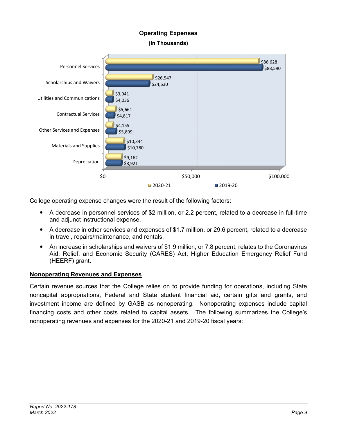# **Operating Expenses**

**(In Thousands)** 



College operating expense changes were the result of the following factors:

- A decrease in personnel services of \$2 million, or 2.2 percent, related to a decrease in full-time and adjunct instructional expense.
- A decrease in other services and expenses of \$1.7 million, or 29.6 percent, related to a decrease in travel, repairs/maintenance, and rentals.
- An increase in scholarships and waivers of \$1.9 million, or 7.8 percent, relates to the Coronavirus Aid, Relief, and Economic Security (CARES) Act, Higher Education Emergency Relief Fund (HEERF) grant.

# **Nonoperating Revenues and Expenses**

Certain revenue sources that the College relies on to provide funding for operations, including State noncapital appropriations, Federal and State student financial aid, certain gifts and grants, and investment income are defined by GASB as nonoperating. Nonoperating expenses include capital financing costs and other costs related to capital assets. The following summarizes the College's nonoperating revenues and expenses for the 2020-21 and 2019-20 fiscal years: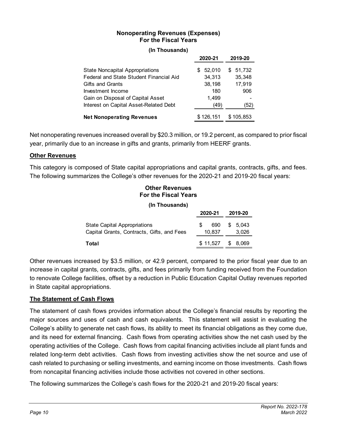## **Nonoperating Revenues (Expenses) For the Fiscal Years**

|                                         | 2020-21       | 2019-20   |  |
|-----------------------------------------|---------------|-----------|--|
| <b>State Noncapital Appropriations</b>  | 52,010<br>\$. | \$51,732  |  |
| Federal and State Student Financial Aid | 34,313        | 35,348    |  |
| Gifts and Grants                        | 38,198        | 17,919    |  |
| Investment Income                       | 180           | 906       |  |
| Gain on Disposal of Capital Asset       | 1,499         |           |  |
| Interest on Capital Asset-Related Debt  | (49)          | (52)      |  |
| <b>Net Nonoperating Revenues</b>        | \$126,151     | \$105,853 |  |

#### **(In Thousands)**

Net nonoperating revenues increased overall by \$20.3 million, or 19.2 percent, as compared to prior fiscal year, primarily due to an increase in gifts and grants, primarily from HEERF grants.

## **Other Revenues**

This category is composed of State capital appropriations and capital grants, contracts, gifts, and fees. The following summarizes the College's other revenues for the 2020-21 and 2019-20 fiscal years:

# **Other Revenues For the Fiscal Years**

**(In Thousands)** 

|                                                                                   | 2020-21       | 2019-20          |  |  |
|-----------------------------------------------------------------------------------|---------------|------------------|--|--|
| <b>State Capital Appropriations</b><br>Capital Grants, Contracts, Gifts, and Fees | 690<br>10.837 | \$5.043<br>3.026 |  |  |
| Total                                                                             | \$11.527      | \$ 8,069         |  |  |

Other revenues increased by \$3.5 million, or 42.9 percent, compared to the prior fiscal year due to an increase in capital grants, contracts, gifts, and fees primarily from funding received from the Foundation to renovate College facilities, offset by a reduction in Public Education Capital Outlay revenues reported in State capital appropriations.

# **The Statement of Cash Flows**

The statement of cash flows provides information about the College's financial results by reporting the major sources and uses of cash and cash equivalents. This statement will assist in evaluating the College's ability to generate net cash flows, its ability to meet its financial obligations as they come due, and its need for external financing. Cash flows from operating activities show the net cash used by the operating activities of the College. Cash flows from capital financing activities include all plant funds and related long-term debt activities. Cash flows from investing activities show the net source and use of cash related to purchasing or selling investments, and earning income on those investments. Cash flows from noncapital financing activities include those activities not covered in other sections.

The following summarizes the College's cash flows for the 2020-21 and 2019-20 fiscal years: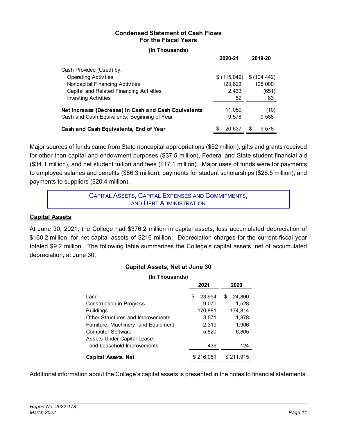## **Condensed Statement of Cash Flows For the Fiscal Years**

**(In Thousands)** 

**2020-21 2019-20**

|                                                      | ZUZU-Z I    | 2019-20      |
|------------------------------------------------------|-------------|--------------|
| Cash Provided (Used) by:                             |             |              |
| <b>Operating Activities</b>                          | \$(115,049) | \$(104, 442) |
| <b>Noncapital Financing Activities</b>               | 123,623     | 105,000      |
| Capital and Related Financing Activities             | 2.433       | (651)        |
| <b>Investing Activities</b>                          | 52          | 83           |
| Net Increase (Decrease) in Cash and Cash Equivalents | 11,059      | (10)         |
| Cash and Cash Equivalents, Beginning of Year         | 9,578       | 9,588        |
| Cash and Cash Equivalents, End of Year               | 20.637      | 9.578        |

Major sources of funds came from State noncapital appropriations (\$52 million), gifts and grants received for other than capital and endowment purposes (\$37.5 million), Federal and State student financial aid (\$34.1 million), and net student tuition and fees (\$17.1 million). Major uses of funds were for payments to employee salaries and benefits (\$86.3 million), payments for student scholarships (\$26.5 million), and payments to suppliers (\$20.4 million).

> CAPITAL ASSETS, CAPITAL EXPENSES AND COMMITMENTS, AND DEBT ADMINISTRATION

# **Capital Assets**

At June 30, 2021, the College had \$376.2 million in capital assets, less accumulated depreciation of \$160.2 million, for net capital assets of \$216 million. Depreciation charges for the current fiscal year totaled \$9.2 million. The following table summarizes the College's capital assets, net of accumulated depreciation, at June 30:

# **Capital Assets, Net at June 30**

| (In Thousands)                                                                                                                          |    |                                              |   |                                              |
|-----------------------------------------------------------------------------------------------------------------------------------------|----|----------------------------------------------|---|----------------------------------------------|
|                                                                                                                                         |    | 2021                                         |   | 2020                                         |
| Land<br><b>Construction in Progress</b><br><b>Buildings</b><br>Other Structures and Improvements<br>Furniture, Machinery, and Equipment | \$ | 23,954<br>9,070<br>170,881<br>3,571<br>2,319 | S | 24,860<br>1,528<br>174,814<br>1,878<br>1,906 |
| <b>Computer Software</b>                                                                                                                |    | 5,820                                        |   | 6,805                                        |
| Assets Under Capital Lease<br>and Leasehold Improvements                                                                                |    | 436                                          |   | 124                                          |
| <b>Capital Assets, Net</b>                                                                                                              |    | \$216.051                                    |   | \$211,915                                    |

Additional information about the College's capital assets is presented in the notes to financial statements.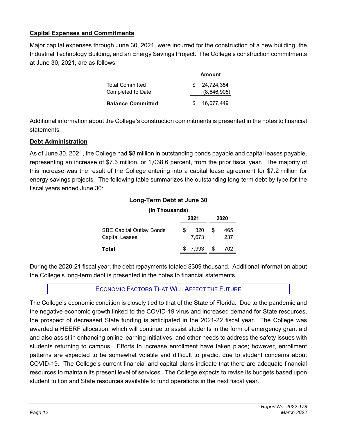# **Capital Expenses and Commitments**

Major capital expenses through June 30, 2021, were incurred for the construction of a new building, the Industrial Technology Building, and an Energy Savings Project. The College's construction commitments at June 30, 2021, are as follows:

|                                             | <b>Amount</b> |                           |  |
|---------------------------------------------|---------------|---------------------------|--|
| <b>Total Committed</b><br>Completed to Date |               | 24.724.354<br>(8,646,905) |  |
| <b>Balance Committed</b>                    |               | 16.077.449                |  |

Additional information about the College's construction commitments is presented in the notes to financial statements.

# **Debt Administration**

As of June 30, 2021, the College had \$8 million in outstanding bonds payable and capital leases payable, representing an increase of \$7.3 million, or 1,038.6 percent, from the prior fiscal year. The majority of this increase was the result of the College entering into a capital lease agreement for \$7.2 million for energy savings projects. The following table summarizes the outstanding long-term debt by type for the fiscal years ended June 30:

# **Long-Term Debt at June 30**

| (In Thousands)                                           |      |              |     |            |  |  |  |  |
|----------------------------------------------------------|------|--------------|-----|------------|--|--|--|--|
|                                                          | 2021 |              |     |            |  |  |  |  |
| <b>SBE Capital Outlay Bonds</b><br><b>Capital Leases</b> | \$   | 320<br>7,673 | \$. | 465<br>237 |  |  |  |  |
| Total                                                    |      | \$ 7.993     |     | 702        |  |  |  |  |

During the 2020-21 fiscal year, the debt repayments totaled \$309 thousand. Additional information about the College's long-term debt is presented in the notes to financial statements.

# ECONOMIC FACTORS THAT WILL AFFECT THE FUTURE

The College's economic condition is closely tied to that of the State of Florida. Due to the pandemic and the negative economic growth linked to the COVID-19 virus and increased demand for State resources, the prospect of decreased State funding is anticipated in the 2021-22 fiscal year. The College was awarded a HEERF allocation, which will continue to assist students in the form of emergency grant aid and also assist in enhancing online learning initiatives, and other needs to address the safety issues with students returning to campus. Efforts to increase enrollment have taken place; however, enrollment patterns are expected to be somewhat volatile and difficult to predict due to student concerns about COVID-19. The College's current financial and capital plans indicate that there are adequate financial resources to maintain its present level of services. The College expects to revise its budgets based upon student tuition and State resources available to fund operations in the next fiscal year.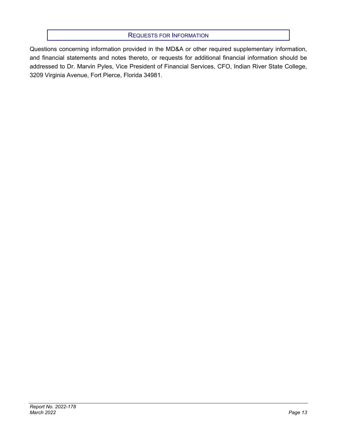# REQUESTS FOR INFORMATION

Questions concerning information provided in the MD&A or other required supplementary information, and financial statements and notes thereto, or requests for additional financial information should be addressed to Dr. Marvin Pyles, Vice President of Financial Services, CFO, Indian River State College, 3209 Virginia Avenue, Fort Pierce, Florida 34981.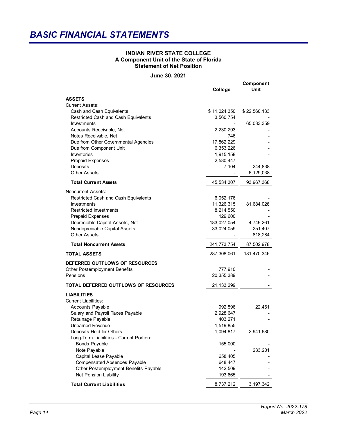# <span id="page-17-0"></span>*BASIC FINANCIAL STATEMENTS*

#### **INDIAN RIVER STATE COLLEGE A Component Unit of the State of Florida Statement of Net Position**

**June 30, 2021** 

|                                                   |                      | Component    |
|---------------------------------------------------|----------------------|--------------|
|                                                   | College              | Unit         |
| <b>ASSETS</b>                                     |                      |              |
| Current Assets:                                   |                      |              |
| Cash and Cash Equivalents                         | \$11,024,350         | \$22,560,133 |
| Restricted Cash and Cash Equivalents              | 3,560,754            |              |
| <b>Investments</b>                                |                      | 65,033,359   |
| Accounts Receivable, Net                          | 2,230,293            |              |
| Notes Receivable, Net                             | 746                  |              |
| Due from Other Governmental Agencies              | 17,862,229           |              |
| Due from Component Unit                           | 6,353,226            |              |
| Inventories                                       | 1,915,158            |              |
| <b>Prepaid Expenses</b>                           | 2,580,447            |              |
| Deposits                                          | 7,104                | 244,838      |
| <b>Other Assets</b>                               |                      | 6,129,038    |
| <b>Total Current Assets</b>                       | 45,534,307           | 93,967,368   |
| <b>Noncurrent Assets:</b>                         |                      |              |
| Restricted Cash and Cash Equivalents              | 6,052,176            |              |
| <b>Investments</b>                                | 11,326,315           | 81,684,026   |
| <b>Restricted Investments</b>                     | 8,214,550            |              |
| <b>Prepaid Expenses</b>                           | 129,600              |              |
| Depreciable Capital Assets, Net                   | 183,027,054          | 4,749,261    |
| Nondepreciable Capital Assets                     | 33,024,059           | 251,407      |
| <b>Other Assets</b>                               |                      | 818,284      |
| <b>Total Noncurrent Assets</b>                    | 241,773,754          | 87,502,978   |
| <b>TOTAL ASSETS</b>                               | 287,308,061          | 181,470,346  |
| DEFERRED OUTFLOWS OF RESOURCES                    |                      |              |
| <b>Other Postemployment Benefits</b>              | 777,910              |              |
| Pensions                                          | 20,355,389           |              |
|                                                   |                      |              |
| TOTAL DEFERRED OUTFLOWS OF RESOURCES              | 21, 133, 299         |              |
| <b>LIABILITIES</b><br><b>Current Liabilities:</b> |                      |              |
| <b>Accounts Payable</b>                           |                      | 22,461       |
| Salary and Payroll Taxes Payable                  | 992,596<br>2,928,647 |              |
| Retainage Payable                                 | 403,271              |              |
| <b>Unearned Revenue</b>                           | 1,519,855            |              |
| Deposits Held for Others                          | 1,094,817            | 2,941,680    |
| Long-Term Liabilities - Current Portion:          |                      |              |
| <b>Bonds Payable</b>                              | 155,000              |              |
| Note Payable                                      |                      | 233,201      |
| Capital Lease Payable                             | 658,405              |              |
| <b>Compensated Absences Payable</b>               | 648,447              |              |
| Other Postemployment Benefits Payable             | 142,509              |              |
| Net Pension Liability                             | 193,665              |              |
| <b>Total Current Liabilities</b>                  | 8,737,212            | 3, 197, 342  |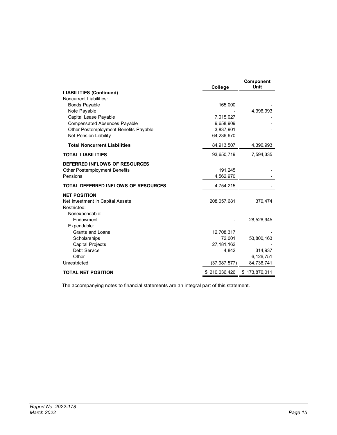|                                            | College        | Component<br>Unit |
|--------------------------------------------|----------------|-------------------|
| <b>LIABILITIES (Continued)</b>             |                |                   |
| Noncurrent Liabilities:                    |                |                   |
| <b>Bonds Payable</b>                       | 165,000        |                   |
| Note Payable                               |                | 4,396,993         |
| Capital Lease Payable                      | 7,015,027      |                   |
| <b>Compensated Absences Payable</b>        | 9,658,909      |                   |
| Other Postemployment Benefits Payable      | 3,837,901      |                   |
| Net Pension Liability                      | 64,236,670     |                   |
| <b>Total Noncurrent Liabilities</b>        | 84,913,507     | 4,396,993         |
| <b>TOTAL LIABILITIES</b>                   | 93,650,719     | 7,594,335         |
| DEFERRED INFLOWS OF RESOURCES              |                |                   |
| <b>Other Postemployment Benefits</b>       | 191,245        |                   |
| Pensions                                   | 4,562,970      |                   |
| <b>TOTAL DEFERRED INFLOWS OF RESOURCES</b> | 4,754,215      |                   |
| <b>NET POSITION</b>                        |                |                   |
| Net Investment in Capital Assets           | 208,057,681    | 370,474           |
| Restricted:                                |                |                   |
| Nonexpendable:                             |                |                   |
| Endowment                                  |                | 28,526,945        |
| Expendable:                                |                |                   |
| Grants and Loans                           | 12,708,317     |                   |
| Scholarships                               | 72,001         | 53,800,163        |
| Capital Projects                           | 27, 181, 162   |                   |
| Debt Service                               | 4,842          | 314,937           |
| Other                                      |                | 6,126,751         |
| Unrestricted                               | (37, 987, 577) | 84,736,741        |
| <b>TOTAL NET POSITION</b>                  | \$210,036,426  | \$173,876,011     |

The accompanying notes to financial statements are an integral part of this statement.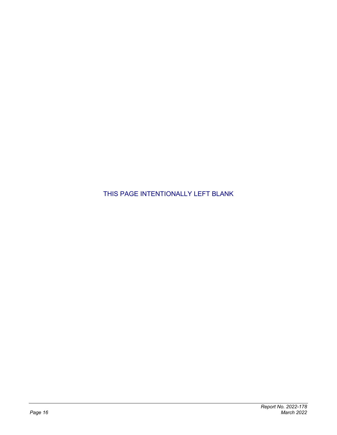THIS PAGE INTENTIONALLY LEFT BLANK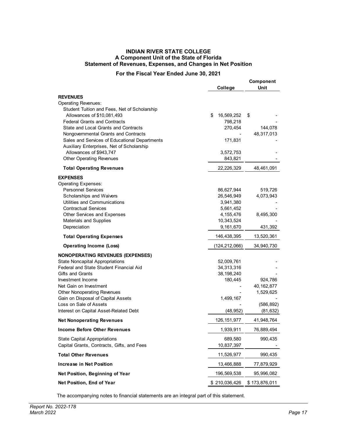#### **INDIAN RIVER STATE COLLEGE A Component Unit of the State of Florida Statement of Revenues, Expenses, and Changes in Net Position**

## **For the Fiscal Year Ended June 30, 2021**

<span id="page-20-0"></span>

|                                                |                  | Component     |
|------------------------------------------------|------------------|---------------|
|                                                | College          | Unit          |
| <b>REVENUES</b>                                |                  |               |
| <b>Operating Revenues:</b>                     |                  |               |
| Student Tuition and Fees, Net of Scholarship   |                  |               |
| Allowances of \$10,081,493                     | \$<br>16,569,252 | \$            |
| <b>Federal Grants and Contracts</b>            | 798,218          |               |
| State and Local Grants and Contracts           | 270,454          | 144,078       |
| Nongovernmental Grants and Contracts           |                  | 48,317,013    |
| Sales and Services of Educational Departments  | 171,831          |               |
| Auxiliary Enterprises, Net of Scholarship      |                  |               |
| Allowances of \$943,747                        | 3,572,753        |               |
| <b>Other Operating Revenues</b>                | 843,821          |               |
| <b>Total Operating Revenues</b>                | 22, 226, 329     | 48,461,091    |
| <b>EXPENSES</b>                                |                  |               |
| <b>Operating Expenses:</b>                     |                  |               |
| <b>Personnel Services</b>                      | 86,627,944       | 519,726       |
| Scholarships and Waivers                       | 26,546,949       | 4,073,943     |
| Utilities and Communications                   | 3,941,380        |               |
| <b>Contractual Services</b>                    | 5,661,452        |               |
| <b>Other Services and Expenses</b>             | 4,155,476        | 8,495,300     |
| <b>Materials and Supplies</b>                  | 10,343,524       |               |
| Depreciation                                   | 9,161,670        | 431,392       |
| <b>Total Operating Expenses</b>                | 146,438,395      | 13,520,361    |
| <b>Operating Income (Loss)</b>                 | (124,212,066)    | 34,940,730    |
| <b>NONOPERATING REVENUES (EXPENSES)</b>        |                  |               |
| <b>State Noncapital Appropriations</b>         | 52,009,761       |               |
| <b>Federal and State Student Financial Aid</b> | 34, 313, 316     |               |
| Gifts and Grants                               | 38, 198, 240     |               |
| Investment Income                              | 180,445          | 924,786       |
| Net Gain on Investment                         |                  | 40, 162, 877  |
| <b>Other Nonoperating Revenues</b>             |                  | 1,529,625     |
| Gain on Disposal of Capital Assets             | 1,499,167        |               |
| Loss on Sale of Assets                         |                  | (586, 892)    |
| Interest on Capital Asset-Related Debt         | (48, 952)        | (81, 632)     |
| <b>Net Nonoperating Revenues</b>               | 126, 151, 977    | 41,948,764    |
| <b>Income Before Other Revenues</b>            | 1,939,911        | 76,889,494    |
| <b>State Capital Appropriations</b>            | 689,580          | 990,435       |
| Capital Grants, Contracts, Gifts, and Fees     | 10,837,397       |               |
| <b>Total Other Revenues</b>                    | 11,526,977       | 990,435       |
| <b>Increase in Net Position</b>                | 13,466,888       | 77,879,929    |
| Net Position, Beginning of Year                | 196,569,538      | 95,996,082    |
| Net Position, End of Year                      | \$210,036,426    | \$173,876,011 |

The accompanying notes to financial statements are an integral part of this statement.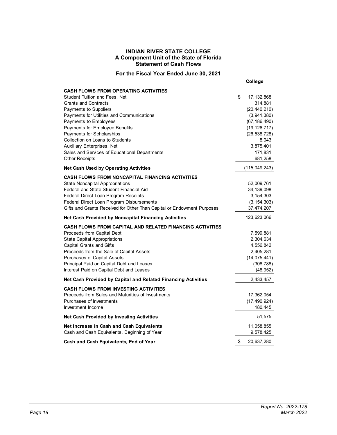#### **INDIAN RIVER STATE COLLEGE A Component Unit of the State of Florida Statement of Cash Flows**

**For the Fiscal Year Ended June 30, 2021** 

<span id="page-21-0"></span>

|                                                                                                                                                                                                                                                                                                                                                                                                                             | College                                                                                                                                                        |
|-----------------------------------------------------------------------------------------------------------------------------------------------------------------------------------------------------------------------------------------------------------------------------------------------------------------------------------------------------------------------------------------------------------------------------|----------------------------------------------------------------------------------------------------------------------------------------------------------------|
| <b>CASH FLOWS FROM OPERATING ACTIVITIES</b><br><b>Student Tuition and Fees. Net</b><br><b>Grants and Contracts</b><br>Payments to Suppliers<br>Payments for Utilities and Communications<br>Payments to Employees<br>Payments for Employee Benefits<br>Payments for Scholarships<br>Collection on Loans to Students<br>Auxiliary Enterprises, Net<br>Sales and Services of Educational Departments<br><b>Other Receipts</b> | \$<br>17,132,868<br>314,881<br>(20, 440, 210)<br>(3,941,380)<br>(67, 186, 490)<br>(19, 126, 717)<br>(26, 538, 728)<br>8,043<br>3,875,401<br>171,831<br>681,258 |
| <b>Net Cash Used by Operating Activities</b>                                                                                                                                                                                                                                                                                                                                                                                | (115,049,243)                                                                                                                                                  |
| <b>CASH FLOWS FROM NONCAPITAL FINANCING ACTIVITIES</b><br><b>State Noncapital Appropriations</b><br>Federal and State Student Financial Aid<br>Federal Direct Loan Program Receipts<br>Federal Direct Loan Program Disbursements<br>Gifts and Grants Received for Other Than Capital or Endowment Purposes                                                                                                                  | 52,009,761<br>34, 139, 098<br>3, 154, 303<br>(3, 154, 303)<br>37,474,207                                                                                       |
| Net Cash Provided by Noncapital Financing Activities                                                                                                                                                                                                                                                                                                                                                                        | 123,623,066                                                                                                                                                    |
| <b>CASH FLOWS FROM CAPITAL AND RELATED FINANCING ACTIVITIES</b><br>Proceeds from Capital Debt<br><b>State Capital Appropriations</b><br>Capital Grants and Gifts<br>Proceeds from the Sale of Capital Assets<br>Purchases of Capital Assets<br>Principal Paid on Capital Debt and Leases<br>Interest Paid on Capital Debt and Leases                                                                                        | 7,599,881<br>2,304,634<br>4,556,842<br>2,405,281<br>(14, 075, 441)<br>(308, 788)<br>(48, 952)                                                                  |
| Net Cash Provided by Capital and Related Financing Activities                                                                                                                                                                                                                                                                                                                                                               | 2,433,457                                                                                                                                                      |
| <b>CASH FLOWS FROM INVESTING ACTIVITIES</b><br>Proceeds from Sales and Maturities of Investments<br>Purchases of Investments<br>Investment Income                                                                                                                                                                                                                                                                           | 17,362,054<br>(17, 490, 924)<br>180,445                                                                                                                        |
| <b>Net Cash Provided by Investing Activities</b>                                                                                                                                                                                                                                                                                                                                                                            | 51,575                                                                                                                                                         |
| Net Increase in Cash and Cash Equivalents<br>Cash and Cash Equivalents, Beginning of Year                                                                                                                                                                                                                                                                                                                                   | 11,058,855<br>9,578,425                                                                                                                                        |
| Cash and Cash Equivalents, End of Year                                                                                                                                                                                                                                                                                                                                                                                      | \$<br>20,637,280                                                                                                                                               |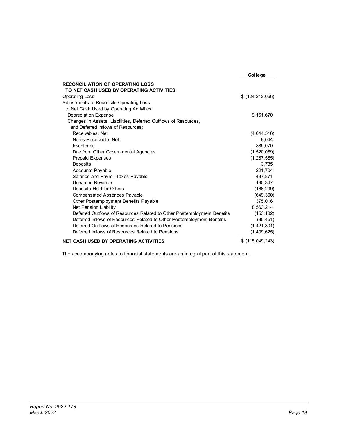|                                                                         | College            |
|-------------------------------------------------------------------------|--------------------|
| <b>RECONCILIATION OF OPERATING LOSS</b>                                 |                    |
| TO NET CASH USED BY OPERATING ACTIVITIES                                |                    |
| <b>Operating Loss</b>                                                   | \$ (124, 212, 066) |
| Adjustments to Reconcile Operating Loss                                 |                    |
| to Net Cash Used by Operating Activities:                               |                    |
| <b>Depreciation Expense</b>                                             | 9,161,670          |
| Changes in Assets, Liabilities, Deferred Outflows of Resources,         |                    |
| and Deferred Inflows of Resources:                                      |                    |
| Receivables, Net                                                        | (4,044,516)        |
| Notes Receivable, Net                                                   | 8.044              |
| Inventories                                                             | 889.070            |
| Due from Other Governmental Agencies                                    | (1,520,089)        |
| <b>Prepaid Expenses</b>                                                 | (1, 287, 585)      |
| Deposits                                                                | 3,735              |
| <b>Accounts Payable</b>                                                 | 221,704            |
| Salaries and Payroll Taxes Payable                                      | 437.871            |
| Unearned Revenue                                                        | 190,347            |
| Deposits Held for Others                                                | (166, 299)         |
| <b>Compensated Absences Payable</b>                                     | (649, 300)         |
| Other Postemployment Benefits Payable                                   | 375,016            |
| Net Pension Liability                                                   | 8,563,214          |
| Deferred Outflows of Resources Related to Other Postemployment Benefits | (153, 182)         |
| Deferred Inflows of Resources Related to Other Postemployment Benefits  | (35, 451)          |
| Deferred Outflows of Resources Related to Pensions                      | (1,421,801)        |
| Deferred Inflows of Resources Related to Pensions                       | (1,409,625)        |
| NET CASH USED BY OPERATING ACTIVITIES                                   | \$(115,049,243)    |

The accompanying notes to financial statements are an integral part of this statement.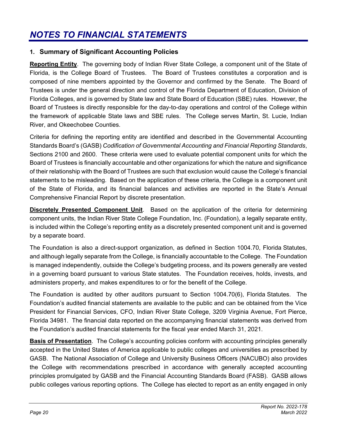# <span id="page-23-0"></span>*NOTES TO FINANCIAL STATEMENTS*

# **1. Summary of Significant Accounting Policies**

**Reporting Entity**. The governing body of Indian River State College, a component unit of the State of Florida, is the College Board of Trustees. The Board of Trustees constitutes a corporation and is composed of nine members appointed by the Governor and confirmed by the Senate. The Board of Trustees is under the general direction and control of the Florida Department of Education, Division of Florida Colleges, and is governed by State law and State Board of Education (SBE) rules. However, the Board of Trustees is directly responsible for the day-to-day operations and control of the College within the framework of applicable State laws and SBE rules. The College serves Martin, St. Lucie, Indian River, and Okeechobee Counties.

Criteria for defining the reporting entity are identified and described in the Governmental Accounting Standards Board's (GASB) *Codification of Governmental Accounting and Financial Reporting Standards*, Sections 2100 and 2600. These criteria were used to evaluate potential component units for which the Board of Trustees is financially accountable and other organizations for which the nature and significance of their relationship with the Board of Trustees are such that exclusion would cause the College's financial statements to be misleading. Based on the application of these criteria, the College is a component unit of the State of Florida, and its financial balances and activities are reported in the State's Annual Comprehensive Financial Report by discrete presentation.

**Discretely Presented Component Unit**. Based on the application of the criteria for determining component units, the Indian River State College Foundation, Inc. (Foundation), a legally separate entity, is included within the College's reporting entity as a discretely presented component unit and is governed by a separate board.

The Foundation is also a direct-support organization, as defined in Section 1004.70, Florida Statutes, and although legally separate from the College, is financially accountable to the College. The Foundation is managed independently, outside the College's budgeting process, and its powers generally are vested in a governing board pursuant to various State statutes. The Foundation receives, holds, invests, and administers property, and makes expenditures to or for the benefit of the College.

The Foundation is audited by other auditors pursuant to Section 1004.70(6), Florida Statutes. The Foundation's audited financial statements are available to the public and can be obtained from the Vice President for Financial Services, CFO, Indian River State College, 3209 Virginia Avenue, Fort Pierce, Florida 34981. The financial data reported on the accompanying financial statements was derived from the Foundation's audited financial statements for the fiscal year ended March 31, 2021.

**Basis of Presentation**. The College's accounting policies conform with accounting principles generally accepted in the United States of America applicable to public colleges and universities as prescribed by GASB. The National Association of College and University Business Officers (NACUBO) also provides the College with recommendations prescribed in accordance with generally accepted accounting principles promulgated by GASB and the Financial Accounting Standards Board (FASB). GASB allows public colleges various reporting options. The College has elected to report as an entity engaged in only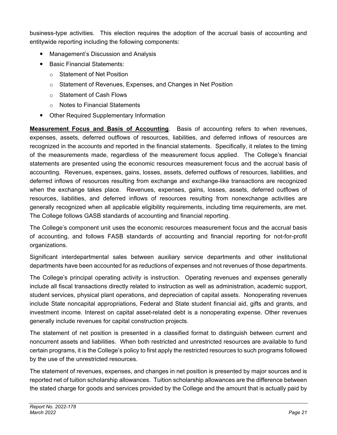business-type activities. This election requires the adoption of the accrual basis of accounting and entitywide reporting including the following components:

- Management's Discussion and Analysis
- Basic Financial Statements:
	- o Statement of Net Position
	- o Statement of Revenues, Expenses, and Changes in Net Position
	- o Statement of Cash Flows
	- o Notes to Financial Statements
- Other Required Supplementary Information

**Measurement Focus and Basis of Accounting**. Basis of accounting refers to when revenues, expenses, assets, deferred outflows of resources, liabilities, and deferred inflows of resources are recognized in the accounts and reported in the financial statements. Specifically, it relates to the timing of the measurements made, regardless of the measurement focus applied. The College's financial statements are presented using the economic resources measurement focus and the accrual basis of accounting. Revenues, expenses, gains, losses, assets, deferred outflows of resources, liabilities, and deferred inflows of resources resulting from exchange and exchange-like transactions are recognized when the exchange takes place. Revenues, expenses, gains, losses, assets, deferred outflows of resources, liabilities, and deferred inflows of resources resulting from nonexchange activities are generally recognized when all applicable eligibility requirements, including time requirements, are met. The College follows GASB standards of accounting and financial reporting.

The College's component unit uses the economic resources measurement focus and the accrual basis of accounting, and follows FASB standards of accounting and financial reporting for not-for-profit organizations.

Significant interdepartmental sales between auxiliary service departments and other institutional departments have been accounted for as reductions of expenses and not revenues of those departments.

The College's principal operating activity is instruction. Operating revenues and expenses generally include all fiscal transactions directly related to instruction as well as administration, academic support, student services, physical plant operations, and depreciation of capital assets. Nonoperating revenues include State noncapital appropriations, Federal and State student financial aid, gifts and grants, and investment income. Interest on capital asset-related debt is a nonoperating expense. Other revenues generally include revenues for capital construction projects.

The statement of net position is presented in a classified format to distinguish between current and noncurrent assets and liabilities. When both restricted and unrestricted resources are available to fund certain programs, it is the College's policy to first apply the restricted resources to such programs followed by the use of the unrestricted resources.

The statement of revenues, expenses, and changes in net position is presented by major sources and is reported net of tuition scholarship allowances. Tuition scholarship allowances are the difference between the stated charge for goods and services provided by the College and the amount that is actually paid by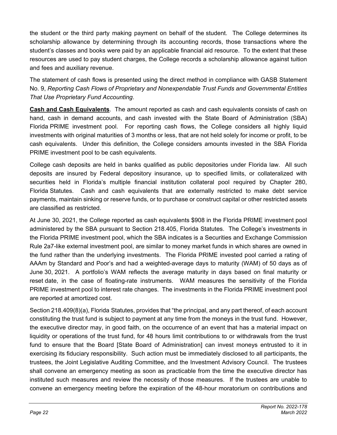the student or the third party making payment on behalf of the student. The College determines its scholarship allowance by determining through its accounting records, those transactions where the student's classes and books were paid by an applicable financial aid resource. To the extent that these resources are used to pay student charges, the College records a scholarship allowance against tuition and fees and auxiliary revenue.

The statement of cash flows is presented using the direct method in compliance with GASB Statement No. 9, *Reporting Cash Flows of Proprietary and Nonexpendable Trust Funds and Governmental Entities That Use Proprietary Fund Accounting*.

**Cash and Cash Equivalents**. The amount reported as cash and cash equivalents consists of cash on hand, cash in demand accounts, and cash invested with the State Board of Administration (SBA) Florida PRIME investment pool. For reporting cash flows, the College considers all highly liquid investments with original maturities of 3 months or less, that are not held solely for income or profit, to be cash equivalents. Under this definition, the College considers amounts invested in the SBA Florida PRIME investment pool to be cash equivalents.

College cash deposits are held in banks qualified as public depositories under Florida law. All such deposits are insured by Federal depository insurance, up to specified limits, or collateralized with securities held in Florida's multiple financial institution collateral pool required by Chapter 280, Florida Statutes. Cash and cash equivalents that are externally restricted to make debt service payments, maintain sinking or reserve funds, or to purchase or construct capital or other restricted assets are classified as restricted.

At June 30, 2021, the College reported as cash equivalents \$908 in the Florida PRIME investment pool administered by the SBA pursuant to Section 218.405, Florida Statutes. The College's investments in the Florida PRIME investment pool, which the SBA indicates is a Securities and Exchange Commission Rule 2a7-like external investment pool, are similar to money market funds in which shares are owned in the fund rather than the underlying investments. The Florida PRIME invested pool carried a rating of AAAm by Standard and Poor's and had a weighted-average days to maturity (WAM) of 50 days as of June 30, 2021. A portfolio's WAM reflects the average maturity in days based on final maturity or reset date, in the case of floating-rate instruments. WAM measures the sensitivity of the Florida PRIME investment pool to interest rate changes. The investments in the Florida PRIME investment pool are reported at amortized cost.

Section 218.409(8)(a), Florida Statutes, provides that "the principal, and any part thereof, of each account constituting the trust fund is subject to payment at any time from the moneys in the trust fund. However, the executive director may, in good faith, on the occurrence of an event that has a material impact on liquidity or operations of the trust fund, for 48 hours limit contributions to or withdrawals from the trust fund to ensure that the Board [State Board of Administration] can invest moneys entrusted to it in exercising its fiduciary responsibility. Such action must be immediately disclosed to all participants, the trustees, the Joint Legislative Auditing Committee, and the Investment Advisory Council. The trustees shall convene an emergency meeting as soon as practicable from the time the executive director has instituted such measures and review the necessity of those measures. If the trustees are unable to convene an emergency meeting before the expiration of the 48-hour moratorium on contributions and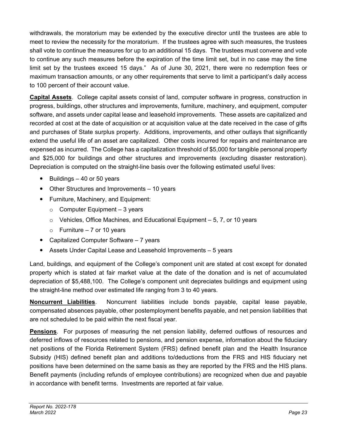withdrawals, the moratorium may be extended by the executive director until the trustees are able to meet to review the necessity for the moratorium. If the trustees agree with such measures, the trustees shall vote to continue the measures for up to an additional 15 days. The trustees must convene and vote to continue any such measures before the expiration of the time limit set, but in no case may the time limit set by the trustees exceed 15 days." As of June 30, 2021, there were no redemption fees or maximum transaction amounts, or any other requirements that serve to limit a participant's daily access to 100 percent of their account value.

**Capital Assets**. College capital assets consist of land, computer software in progress, construction in progress, buildings, other structures and improvements, furniture, machinery, and equipment, computer software, and assets under capital lease and leasehold improvements. These assets are capitalized and recorded at cost at the date of acquisition or at acquisition value at the date received in the case of gifts and purchases of State surplus property. Additions, improvements, and other outlays that significantly extend the useful life of an asset are capitalized. Other costs incurred for repairs and maintenance are expensed as incurred. The College has a capitalization threshold of \$5,000 for tangible personal property and \$25,000 for buildings and other structures and improvements (excluding disaster restoration). Depreciation is computed on the straight-line basis over the following estimated useful lives:

- $\bullet$  Buildings  $-$  40 or 50 years
- Other Structures and Improvements 10 years
- Furniture, Machinery, and Equipment:
	- $\circ$  Computer Equipment 3 years
	- $\circ$  Vehicles, Office Machines, and Educational Equipment  $-5$ , 7, or 10 years
	- $\circ$  Furniture 7 or 10 years
- Capitalized Computer Software 7 years
- Assets Under Capital Lease and Leasehold Improvements 5 years

Land, buildings, and equipment of the College's component unit are stated at cost except for donated property which is stated at fair market value at the date of the donation and is net of accumulated depreciation of \$5,488,100. The College's component unit depreciates buildings and equipment using the straight-line method over estimated life ranging from 3 to 40 years.

**Noncurrent Liabilities**. Noncurrent liabilities include bonds payable, capital lease payable, compensated absences payable, other postemployment benefits payable, and net pension liabilities that are not scheduled to be paid within the next fiscal year.

**Pensions**. For purposes of measuring the net pension liability, deferred outflows of resources and deferred inflows of resources related to pensions, and pension expense, information about the fiduciary net positions of the Florida Retirement System (FRS) defined benefit plan and the Health Insurance Subsidy (HIS) defined benefit plan and additions to/deductions from the FRS and HIS fiduciary net positions have been determined on the same basis as they are reported by the FRS and the HIS plans. Benefit payments (including refunds of employee contributions) are recognized when due and payable in accordance with benefit terms. Investments are reported at fair value.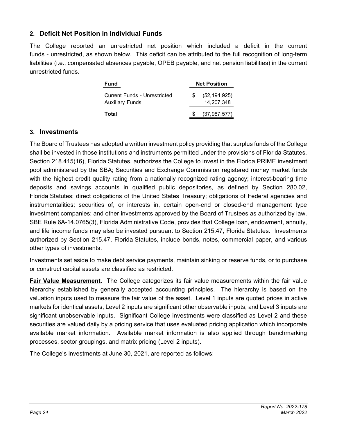# **2. Deficit Net Position in Individual Funds**

The College reported an unrestricted net position which included a deficit in the current funds - unrestricted, as shown below. This deficit can be attributed to the full recognition of long-term liabilities (i.e., compensated absences payable, OPEB payable, and net pension liabilities) in the current unrestricted funds.

| <b>Fund</b>                                                   | <b>Net Position</b> |                              |  |  |  |
|---------------------------------------------------------------|---------------------|------------------------------|--|--|--|
| <b>Current Funds - Unrestricted</b><br><b>Auxiliary Funds</b> |                     | (52, 194, 925)<br>14,207,348 |  |  |  |
| Total                                                         |                     | (37, 987, 577)               |  |  |  |

# **3. Investments**

The Board of Trustees has adopted a written investment policy providing that surplus funds of the College shall be invested in those institutions and instruments permitted under the provisions of Florida Statutes. Section 218.415(16), Florida Statutes, authorizes the College to invest in the Florida PRIME investment pool administered by the SBA; Securities and Exchange Commission registered money market funds with the highest credit quality rating from a nationally recognized rating agency; interest-bearing time deposits and savings accounts in qualified public depositories, as defined by Section 280.02, Florida Statutes; direct obligations of the United States Treasury; obligations of Federal agencies and instrumentalities; securities of, or interests in, certain open-end or closed-end management type investment companies; and other investments approved by the Board of Trustees as authorized by law. SBE Rule 6A-14.0765(3), Florida Administrative Code, provides that College loan, endowment, annuity, and life income funds may also be invested pursuant to Section 215.47, Florida Statutes. Investments authorized by Section 215.47, Florida Statutes, include bonds, notes, commercial paper, and various other types of investments.

Investments set aside to make debt service payments, maintain sinking or reserve funds, or to purchase or construct capital assets are classified as restricted.

**Fair Value Measurement**. The College categorizes its fair value measurements within the fair value hierarchy established by generally accepted accounting principles. The hierarchy is based on the valuation inputs used to measure the fair value of the asset. Level 1 inputs are quoted prices in active markets for identical assets, Level 2 inputs are significant other observable inputs, and Level 3 inputs are significant unobservable inputs. Significant College investments were classified as Level 2 and these securities are valued daily by a pricing service that uses evaluated pricing application which incorporate available market information. Available market information is also applied through benchmarking processes, sector groupings, and matrix pricing (Level 2 inputs).

The College's investments at June 30, 2021, are reported as follows: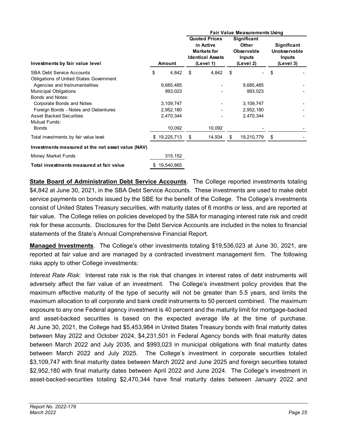|                                                   |    |              | <b>Fair Value Measurements Using</b>                                                            |        |                                                                         |            |                                                                  |  |
|---------------------------------------------------|----|--------------|-------------------------------------------------------------------------------------------------|--------|-------------------------------------------------------------------------|------------|------------------------------------------------------------------|--|
| Investments by fair value level                   |    | Amount       | <b>Quoted Prices</b><br>in Active<br><b>Markets for</b><br><b>Identical Assets</b><br>(Level 1) |        | Significant<br><b>Other</b><br><b>Observable</b><br>Inputs<br>(Level 2) |            | <b>Significant</b><br><b>Unobservable</b><br>Inputs<br>(Level 3) |  |
| <b>SBA Debt Service Accounts</b>                  | \$ | 4,842        | \$                                                                                              | 4,842  | \$                                                                      |            | \$                                                               |  |
| <b>Obligations of United States Government</b>    |    |              |                                                                                                 |        |                                                                         |            |                                                                  |  |
| Agencies and Instrumentalities                    |    | 9,685,485    |                                                                                                 |        |                                                                         | 9,685,485  |                                                                  |  |
| <b>Municipal Obligations</b>                      |    | 993,023      |                                                                                                 |        |                                                                         | 993,023    |                                                                  |  |
| Bonds and Notes:                                  |    |              |                                                                                                 |        |                                                                         |            |                                                                  |  |
| Corporate Bonds and Notes                         |    | 3,109,747    |                                                                                                 |        |                                                                         | 3,109,747  |                                                                  |  |
| Foreign Bonds - Notes and Debentures              |    | 2,952,180    |                                                                                                 |        |                                                                         | 2,952,180  |                                                                  |  |
| <b>Asset Backed Securities</b>                    |    | 2,470,344    |                                                                                                 |        |                                                                         | 2,470,344  |                                                                  |  |
| <b>Mutual Funds:</b>                              |    |              |                                                                                                 |        |                                                                         |            |                                                                  |  |
| <b>Bonds</b>                                      |    | 10,092       |                                                                                                 | 10,092 |                                                                         |            |                                                                  |  |
| Total investments by fair value level             | S. | 19,225,713   | \$                                                                                              | 14,934 | \$                                                                      | 19,210,779 | -\$                                                              |  |
| Investments measured at the net asset value (NAV) |    |              |                                                                                                 |        |                                                                         |            |                                                                  |  |
| Money Market Funds                                |    | 315,152      |                                                                                                 |        |                                                                         |            |                                                                  |  |
| Total investments measured at fair value          |    | \$19,540,865 |                                                                                                 |        |                                                                         |            |                                                                  |  |

**State Board of Administration Debt Service Accounts**. The College reported investments totaling \$4,842 at June 30, 2021, in the SBA Debt Service Accounts. These investments are used to make debt service payments on bonds issued by the SBE for the benefit of the College. The College's investments consist of United States Treasury securities, with maturity dates of 6 months or less, and are reported at fair value. The College relies on policies developed by the SBA for managing interest rate risk and credit risk for these accounts. Disclosures for the Debt Service Accounts are included in the notes to financial statements of the State's Annual Comprehensive Financial Report.

**Managed Investments**. The College's other investments totaling \$19,536,023 at June 30, 2021, are reported at fair value and are managed by a contracted investment management firm. The following risks apply to other College investments:

*Interest Rate Risk*: Interest rate risk is the risk that changes in interest rates of debt instruments will adversely affect the fair value of an investment. The College's investment policy provides that the maximum effective maturity of the type of security will not be greater than 5.5 years, and limits the maximum allocation to all corporate and bank credit instruments to 50 percent combined. The maximum exposure to any one Federal agency investment is 40 percent and the maturity limit for mortgage-backed and asset-backed securities is based on the expected average life at the time of purchase. At June 30, 2021, the College had \$5,453,984 in United States Treasury bonds with final maturity dates between May 2022 and October 2024, \$4,231,501 in Federal Agency bonds with final maturity dates between March 2022 and July 2035, and \$993,023 in municipal obligations with final maturity dates between March 2022 and July 2025. The College's investment in corporate securities totaled \$3,109,747 with final maturity dates between March 2022 and June 2025 and foreign securities totaled \$2,952,180 with final maturity dates between April 2022 and June 2024. The College's investment in asset-backed-securities totaling \$2,470,344 have final maturity dates between January 2022 and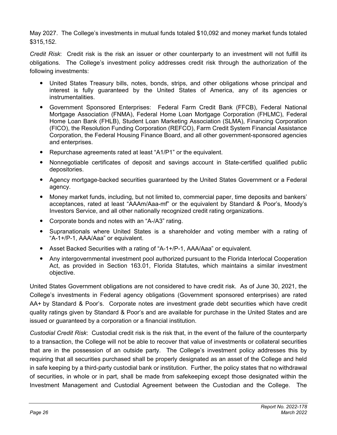May 2027. The College's investments in mutual funds totaled \$10,092 and money market funds totaled \$315,152.

*Credit Risk*: Credit risk is the risk an issuer or other counterparty to an investment will not fulfill its obligations. The College's investment policy addresses credit risk through the authorization of the following investments:

- United States Treasury bills, notes, bonds, strips, and other obligations whose principal and interest is fully guaranteed by the United States of America, any of its agencies or instrumentalities.
- Government Sponsored Enterprises: Federal Farm Credit Bank (FFCB), Federal National Mortgage Association (FNMA), Federal Home Loan Mortgage Corporation (FHLMC), Federal Home Loan Bank (FHLB), Student Loan Marketing Association (SLMA), Financing Corporation (FICO), the Resolution Funding Corporation (REFCO), Farm Credit System Financial Assistance Corporation, the Federal Housing Finance Board, and all other government-sponsored agencies and enterprises.
- Repurchase agreements rated at least "A1/P1" or the equivalent.
- Nonnegotiable certificates of deposit and savings account in State-certified qualified public depositories.
- Agency mortgage-backed securities guaranteed by the United States Government or a Federal agency.
- Money market funds, including, but not limited to, commercial paper, time deposits and bankers' acceptances, rated at least "AAAm/Aaa-mf" or the equivalent by Standard & Poor's, Moody's Investors Service, and all other nationally recognized credit rating organizations.
- Corporate bonds and notes with an "A-/A3" rating.
- Supranationals where United States is a shareholder and voting member with a rating of "A-1+/P-1, AAA/Aaa" or equivalent.
- Asset Backed Securities with a rating of "A-1+/P-1, AAA/Aaa" or equivalent.
- Any intergovernmental investment pool authorized pursuant to the Florida Interlocal Cooperation Act, as provided in Section 163.01, Florida Statutes, which maintains a similar investment objective.

United States Government obligations are not considered to have credit risk. As of June 30, 2021, the College's investments in Federal agency obligations (Government sponsored enterprises) are rated AA+ by Standard & Poor's. Corporate notes are investment grade debt securities which have credit quality ratings given by Standard & Poor's and are available for purchase in the United States and are issued or guaranteed by a corporation or a financial institution.

*Custodial Credit Risk*: Custodial credit risk is the risk that, in the event of the failure of the counterparty to a transaction, the College will not be able to recover that value of investments or collateral securities that are in the possession of an outside party. The College's investment policy addresses this by requiring that all securities purchased shall be properly designated as an asset of the College and held in safe keeping by a third-party custodial bank or institution. Further, the policy states that no withdrawal of securities, in whole or in part, shall be made from safekeeping except those designated within the Investment Management and Custodial Agreement between the Custodian and the College. The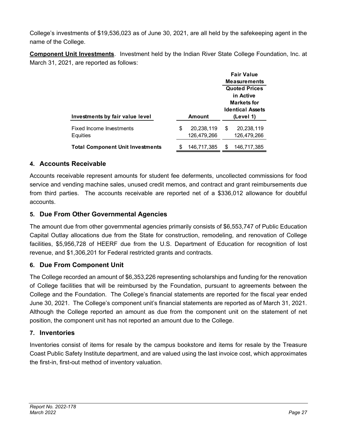College's investments of \$19,536,023 as of June 30, 2021, are all held by the safekeeping agent in the name of the College.

**Component Unit Investments**. Investment held by the Indian River State College Foundation, Inc. at March 31, 2021, are reported as follows:

|                                         |        |                           |    | <b>Fair Value</b><br><b>Measurements</b> |
|-----------------------------------------|--------|---------------------------|----|------------------------------------------|
| Investments by fair value level         | Amount |                           |    |                                          |
| Fixed Income Investments<br>Equities    | \$     | 20,238,119<br>126,479,266 | \$ | 20,238,119<br>126,479,266                |
| <b>Total Component Unit Investments</b> |        | 146,717,385               |    | 146,717,385                              |

# **4. Accounts Receivable**

Accounts receivable represent amounts for student fee deferments, uncollected commissions for food service and vending machine sales, unused credit memos, and contract and grant reimbursements due from third parties. The accounts receivable are reported net of a \$336,012 allowance for doubtful accounts.

# **5. Due From Other Governmental Agencies**

The amount due from other governmental agencies primarily consists of \$6,553,747 of Public Education Capital Outlay allocations due from the State for construction, remodeling, and renovation of College facilities, \$5,956,728 of HEERF due from the U.S. Department of Education for recognition of lost revenue, and \$1,306,201 for Federal restricted grants and contracts.

# **6. Due From Component Unit**

The College recorded an amount of \$6,353,226 representing scholarships and funding for the renovation of College facilities that will be reimbursed by the Foundation, pursuant to agreements between the College and the Foundation. The College's financial statements are reported for the fiscal year ended June 30, 2021. The College's component unit's financial statements are reported as of March 31, 2021. Although the College reported an amount as due from the component unit on the statement of net position, the component unit has not reported an amount due to the College.

# **7. Inventories**

Inventories consist of items for resale by the campus bookstore and items for resale by the Treasure Coast Public Safety Institute department, and are valued using the last invoice cost, which approximates the first-in, first-out method of inventory valuation.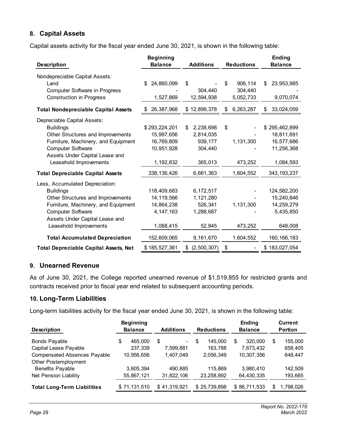# **8. Capital Assets**

Capital assets activity for the fiscal year ended June 30, 2021, is shown in the following table:

| <b>Description</b>                           | <b>Beginning</b><br><b>Additions</b><br><b>Balance</b> |                 | <b>Reductions</b> | Ending<br><b>Balance</b> |
|----------------------------------------------|--------------------------------------------------------|-----------------|-------------------|--------------------------|
| Nondepreciable Capital Assets:               |                                                        |                 |                   |                          |
| Land                                         | 24,860,099<br>\$                                       | \$              | 906,114<br>\$     | 23,953,985<br>\$         |
| <b>Computer Software in Progress</b>         |                                                        | 304,440         | 304,440           |                          |
| <b>Construction in Progress</b>              | 1,527,869                                              | 12,594,938      | 5,052,733         | 9,070,074                |
| <b>Total Nondepreciable Capital Assets</b>   | 26,387,968                                             | \$12,899,378    | 6,263,287<br>\$   | 33,024,059<br>\$         |
| Depreciable Capital Assets:                  |                                                        |                 |                   |                          |
| <b>Buildings</b>                             | \$293,224,201                                          | 2,238,698<br>\$ | \$                | \$295,462,899            |
| Other Structures and Improvements            | 15,997,656                                             | 2,814,035       |                   | 18,811,691               |
| Furniture, Machinery, and Equipment          | 16,769,809                                             | 939,177         | 1,131,300         | 16,577,686               |
| <b>Computer Software</b>                     | 10,951,928                                             | 304,440         |                   | 11,256,368               |
| Assets Under Capital Lease and               |                                                        |                 |                   |                          |
| Leasehold Improvements                       | 1,192,832                                              | 365,013         | 473,252           | 1,084,593                |
| <b>Total Depreciable Capital Assets</b>      | 338, 136, 426                                          | 6,661,363       | 1,604,552         | 343, 193, 237            |
| Less, Accumulated Depreciation:              |                                                        |                 |                   |                          |
| <b>Buildings</b>                             | 118,409,683                                            | 6,172,517       |                   | 124,582,200              |
| Other Structures and Improvements            | 14,119,566                                             | 1,121,280       |                   | 15,240,846               |
| Furniture, Machinery, and Equipment          | 14,864,238                                             | 526,341         | 1,131,300         | 14,259,279               |
| <b>Computer Software</b>                     | 4, 147, 163                                            | 1,288,687       |                   | 5,435,850                |
| Assets Under Capital Lease and               |                                                        |                 |                   |                          |
| Leasehold Improvements                       | 1,068,415                                              | 52,845          | 473,252           | 648,008                  |
| <b>Total Accumulated Depreciation</b>        | 152,609,065                                            | 9,161,670       | 1,604,552         | 160, 166, 183            |
| <b>Total Depreciable Capital Assets, Net</b> | \$185,527,361                                          | \$(2,500,307)   | \$                | \$183,027,054            |

# **9. Unearned Revenue**

As of June 30, 2021, the College reported unearned revenue of \$1,519,855 for restricted grants and contracts received prior to fiscal year end related to subsequent accounting periods.

# **10. Long-Term Liabilities**

Long-term liabilities activity for the fiscal year ended June 30, 2021, is shown in the following table:

| <b>Description</b>                  | <b>Beginning</b><br><b>Balance</b> | <b>Reductions</b><br><b>Additions</b> |    | Ending<br><b>Balance</b> |    |              | Current<br><b>Portion</b> |           |
|-------------------------------------|------------------------------------|---------------------------------------|----|--------------------------|----|--------------|---------------------------|-----------|
| <b>Bonds Payable</b>                | \$<br>465,000                      | \$<br>$\blacksquare$                  | \$ | 145.000                  | \$ | 320,000      | \$                        | 155,000   |
| Capital Lease Payable               | 237,339                            | 7,599,881                             |    | 163,788                  |    | 7,673,432    |                           | 658,405   |
| <b>Compensated Absences Payable</b> | 10,956,656                         | 1,407,049                             |    | 2,056,349                |    | 10,307,356   |                           | 648,447   |
| <b>Other Postemployment</b>         |                                    |                                       |    |                          |    |              |                           |           |
| <b>Benefits Payable</b>             | 3,605,394                          | 490.885                               |    | 115.869                  |    | 3,980,410    |                           | 142.509   |
| <b>Net Pension Liability</b>        | 55,867,121                         | 31,822,106                            |    | 23,258,892               |    | 64,430,335   |                           | 193,665   |
| <b>Total Long-Term Liabilities</b>  | \$71,131,510                       | \$41,319,921                          |    | \$25,739,898             |    | \$86,711,533 | S                         | 1,798,026 |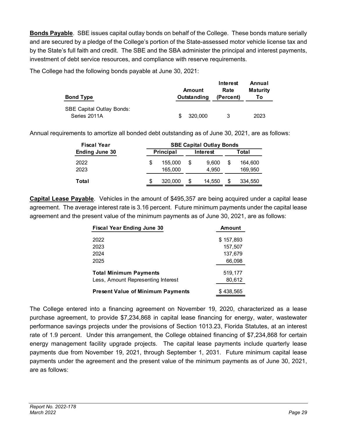**Bonds Payable**. SBE issues capital outlay bonds on behalf of the College. These bonds mature serially and are secured by a pledge of the College's portion of the State-assessed motor vehicle license tax and by the State's full faith and credit. The SBE and the SBA administer the principal and interest payments, investment of debt service resources, and compliance with reserve requirements.

The College had the following bonds payable at June 30, 2021:

| <b>Bond Type</b>                                 | Amount<br>Outstanding | Interest<br>Rate<br>(Percent) | Annual<br><b>Maturity</b><br>Τo |
|--------------------------------------------------|-----------------------|-------------------------------|---------------------------------|
| <b>SBE Capital Outlay Bonds:</b><br>Series 2011A | 320.000<br>\$.        | 3                             | 2023                            |

Annual requirements to amortize all bonded debt outstanding as of June 30, 2021, are as follows:

| <b>Fiscal Year</b>    | <b>SBE Capital Outlay Bonds</b> |                    |   |                |    |                    |
|-----------------------|---------------------------------|--------------------|---|----------------|----|--------------------|
| <b>Ending June 30</b> |                                 | <b>Principal</b>   |   | Interest       |    | Total              |
| 2022<br>2023          | \$                              | 155.000<br>165,000 | S | 9.600<br>4,950 | \$ | 164,600<br>169,950 |
| Total                 | \$                              | 320,000            | S | 14.550         | S  | 334,550            |

**Capital Lease Payable**. Vehicles in the amount of \$495,357 are being acquired under a capital lease agreement. The average interest rate is 3.16 percent. Future minimum payments under the capital lease agreement and the present value of the minimum payments as of June 30, 2021, are as follows:

| <b>Fiscal Year Ending June 30</b>        | <b>Amount</b>        |
|------------------------------------------|----------------------|
| 2022<br>2023                             | \$157,893<br>157,507 |
| 2024<br>2025                             | 137,679<br>66,098    |
| <b>Total Minimum Payments</b>            | 519,177              |
| Less, Amount Representing Interest       | 80,612               |
| <b>Present Value of Minimum Payments</b> | \$438,565            |

The College entered into a financing agreement on November 19, 2020, characterized as a lease purchase agreement, to provide \$7,234,868 in capital lease financing for energy, water, wastewater performance savings projects under the provisions of Section 1013.23, Florida Statutes, at an interest rate of 1.9 percent. Under this arrangement, the College obtained financing of \$7,234,868 for certain energy management facility upgrade projects. The capital lease payments include quarterly lease payments due from November 19, 2021, through September 1, 2031. Future minimum capital lease payments under the agreement and the present value of the minimum payments as of June 30, 2021, are as follows: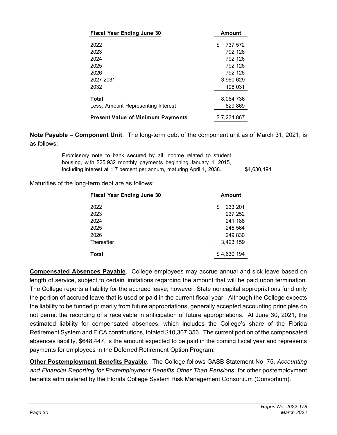| <b>Fiscal Year Ending June 30</b>                         |    | Amount                                                                      |  |
|-----------------------------------------------------------|----|-----------------------------------------------------------------------------|--|
| 2022<br>2023<br>2024<br>2025<br>2026<br>2027-2031<br>2032 | \$ | 737,572<br>792,126<br>792,126<br>792,126<br>792,126<br>3,960,629<br>198.031 |  |
|                                                           |    |                                                                             |  |
| Total<br>Less, Amount Representing Interest               |    | 8.064.736<br>829,869                                                        |  |
| <b>Present Value of Minimum Payments</b>                  |    | \$7.234.867                                                                 |  |

**Note Payable – Component Unit**. The long-term debt of the component unit as of March 31, 2021, is as follows:

| Promissory note to bank secured by all income related to student     |             |
|----------------------------------------------------------------------|-------------|
| housing, with \$25,932 monthly payments beginning January 1, 2015,   |             |
| including interest at 1.7 percent per annum, maturing April 1, 2038. | \$4,630,194 |

Maturities of the long-term debt are as follows:

| <b>Fiscal Year Ending June 30</b> | Amount                   |  |
|-----------------------------------|--------------------------|--|
| 2022<br>2023                      | 233,201<br>\$<br>237,252 |  |
| 2024                              | 241,188                  |  |
| 2025                              | 245,564                  |  |
| 2026                              | 249,830                  |  |
| Thereafter                        | 3,423,159                |  |
| Total                             | \$4,630,194              |  |

**Compensated Absences Payable**. College employees may accrue annual and sick leave based on length of service, subject to certain limitations regarding the amount that will be paid upon termination. The College reports a liability for the accrued leave; however, State noncapital appropriations fund only the portion of accrued leave that is used or paid in the current fiscal year. Although the College expects the liability to be funded primarily from future appropriations, generally accepted accounting principles do not permit the recording of a receivable in anticipation of future appropriations. At June 30, 2021, the estimated liability for compensated absences, which includes the College's share of the Florida Retirement System and FICA contributions, totaled \$10,307,356. The current portion of the compensated absences liability, \$648,447, is the amount expected to be paid in the coming fiscal year and represents payments for employees in the Deferred Retirement Option Program.

**Other Postemployment Benefits Payable**. The College follows GASB Statement No. 75, *Accounting and Financial Reporting for Postemployment Benefits Other Than Pensions*, for other postemployment benefits administered by the Florida College System Risk Management Consortium (Consortium).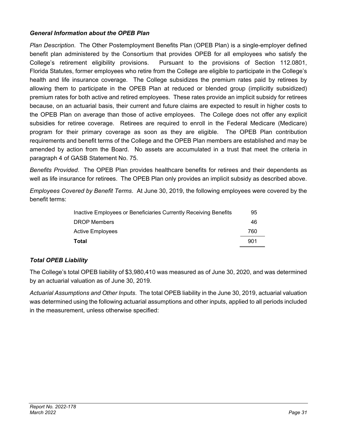# *General Information about the OPEB Plan*

*Plan Description*. The Other Postemployment Benefits Plan (OPEB Plan) is a single-employer defined benefit plan administered by the Consortium that provides OPEB for all employees who satisfy the College's retirement eligibility provisions. Pursuant to the provisions of Section 112.0801, Florida Statutes, former employees who retire from the College are eligible to participate in the College's health and life insurance coverage. The College subsidizes the premium rates paid by retirees by allowing them to participate in the OPEB Plan at reduced or blended group (implicitly subsidized) premium rates for both active and retired employees. These rates provide an implicit subsidy for retirees because, on an actuarial basis, their current and future claims are expected to result in higher costs to the OPEB Plan on average than those of active employees. The College does not offer any explicit subsidies for retiree coverage. Retirees are required to enroll in the Federal Medicare (Medicare) program for their primary coverage as soon as they are eligible. The OPEB Plan contribution requirements and benefit terms of the College and the OPEB Plan members are established and may be amended by action from the Board. No assets are accumulated in a trust that meet the criteria in paragraph 4 of GASB Statement No. 75.

*Benefits Provided*. The OPEB Plan provides healthcare benefits for retirees and their dependents as well as life insurance for retirees. The OPEB Plan only provides an implicit subsidy as described above.

*Employees Covered by Benefit Terms*. At June 30, 2019, the following employees were covered by the benefit terms:

| Inactive Employees or Beneficiaries Currently Receiving Benefits | 95  |
|------------------------------------------------------------------|-----|
| <b>DROP Members</b>                                              | 46  |
| <b>Active Employees</b>                                          | 760 |
| Total                                                            | 901 |

# *Total OPEB Liability*

The College's total OPEB liability of \$3,980,410 was measured as of June 30, 2020, and was determined by an actuarial valuation as of June 30, 2019.

*Actuarial Assumptions and Other Inputs*. The total OPEB liability in the June 30, 2019, actuarial valuation was determined using the following actuarial assumptions and other inputs, applied to all periods included in the measurement, unless otherwise specified: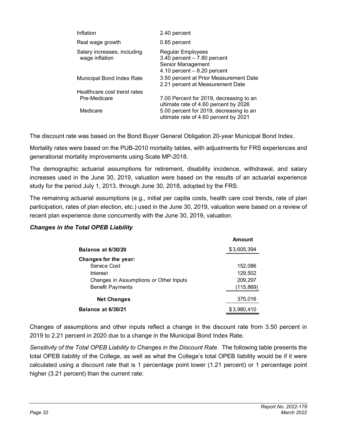| Inflation                                     | 2.40 percent                                                                                                                                                         |
|-----------------------------------------------|----------------------------------------------------------------------------------------------------------------------------------------------------------------------|
| Real wage growth                              | 0.85 percent                                                                                                                                                         |
| Salary increases, including<br>wage inflation | <b>Regular Employees</b><br>$3.40$ percent $-7.80$ percent<br><b>Senior Management</b><br>$4.10$ percent $-8.20$ percent                                             |
| Municipal Bond Index Rate                     | 3.50 percent at Prior Measurement Date<br>2.21 percent at Measurement Date                                                                                           |
| Healthcare cost trend rates                   |                                                                                                                                                                      |
| Pre-Medicare<br>Medicare                      | 7.00 Percent for 2019, decreasing to an<br>ultimate rate of 4.60 percent by 2026<br>5.00 percent for 2019, decreasing to an<br>ultimate rate of 4.60 percent by 2021 |
|                                               |                                                                                                                                                                      |

The discount rate was based on the Bond Buyer General Obligation 20-year Municipal Bond Index.

Mortality rates were based on the PUB-2010 mortality tables, with adjustments for FRS experiences and generational mortality improvements using Scale MP-2018.

The demographic actuarial assumptions for retirement, disability incidence, withdrawal, and salary increases used in the June 30, 2019, valuation were based on the results of an actuarial experience study for the period July 1, 2013, through June 30, 2018, adopted by the FRS.

The remaining actuarial assumptions (e.g., initial per capita costs, health care cost trends, rate of plan participation, rates of plan election, etc.) used in the June 30, 2019, valuation were based on a review of recent plan experience done concurrently with the June 30, 2019, valuation.

# *Changes in the Total OPEB Liability*

|                                        | Amount      |
|----------------------------------------|-------------|
| Balance at 6/30/20                     | \$3,605,394 |
| Changes for the year:                  |             |
| Service Cost                           | 152,086     |
| Interest                               | 129,502     |
| Changes in Assumptions or Other Inputs | 209,297     |
| <b>Benefit Payments</b>                | (115, 869)  |
| <b>Net Changes</b>                     | 375,016     |
| Balance at 6/30/21                     | \$3,980,410 |

Changes of assumptions and other inputs reflect a change in the discount rate from 3.50 percent in 2019 to 2.21 percent in 2020 due to a change in the Municipal Bond Index Rate.

*Sensitivity of the Total OPEB Liability to Changes in the Discount Rate*. The following table presents the total OPEB liability of the College, as well as what the College's total OPEB liability would be if it were calculated using a discount rate that is 1 percentage point lower (1.21 percent) or 1 percentage point higher (3.21 percent) than the current rate: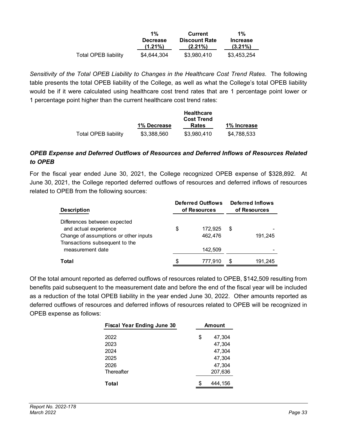|                      | 1%                            | Current                            | $1\%$                         |
|----------------------|-------------------------------|------------------------------------|-------------------------------|
|                      | <b>Decrease</b><br>$(1.21\%)$ | <b>Discount Rate</b><br>$(2.21\%)$ | <b>Increase</b><br>$(3.21\%)$ |
| Total OPEB liability | \$4.644.304                   | \$3,980,410                        | \$3,453,254                   |

*Sensitivity of the Total OPEB Liability to Changes in the Healthcare Cost Trend Rates*. The following table presents the total OPEB liability of the College, as well as what the College's total OPEB liability would be if it were calculated using healthcare cost trend rates that are 1 percentage point lower or 1 percentage point higher than the current healthcare cost trend rates:

|                             |             | <b>Healthcare</b><br><b>Cost Trend</b> |             |
|-----------------------------|-------------|----------------------------------------|-------------|
|                             | 1% Decrease | <b>Rates</b>                           | 1% Increase |
| <b>Total OPEB liability</b> | \$3,388,560 | \$3.980.410                            | \$4,788,533 |

# *OPEB Expense and Deferred Outflows of Resources and Deferred Inflows of Resources Related to OPEB*

For the fiscal year ended June 30, 2021, the College recognized OPEB expense of \$328,892. At June 30, 2021, the College reported deferred outflows of resources and deferred inflows of resources related to OPEB from the following sources:

| <b>Description</b>                                                                                                               | <b>Deferred Outflows</b><br>of Resources |    | <b>Deferred Inflows</b><br>of Resources |
|----------------------------------------------------------------------------------------------------------------------------------|------------------------------------------|----|-----------------------------------------|
| Differences between expected<br>and actual experience<br>Change of assumptions or other inputs<br>Transactions subsequent to the | \$<br>172,925<br>462,476                 | \$ | 191,245                                 |
| measurement date                                                                                                                 | 142.509                                  |    |                                         |
| Total                                                                                                                            | \$<br>777,910                            | S  | 191.245                                 |

Of the total amount reported as deferred outflows of resources related to OPEB, \$142,509 resulting from benefits paid subsequent to the measurement date and before the end of the fiscal year will be included as a reduction of the total OPEB liability in the year ended June 30, 2022. Other amounts reported as deferred outflows of resources and deferred inflows of resources related to OPEB will be recognized in OPEB expense as follows:

| <b>Fiscal Year Ending June 30</b> |    | Amount  |  |  |
|-----------------------------------|----|---------|--|--|
| 2022                              | \$ | 47,304  |  |  |
| 2023                              |    | 47,304  |  |  |
| 2024                              |    | 47,304  |  |  |
| 2025                              |    | 47,304  |  |  |
| 2026                              |    | 47,304  |  |  |
| Thereafter                        |    | 207,636 |  |  |
| Total                             | S. | 444,156 |  |  |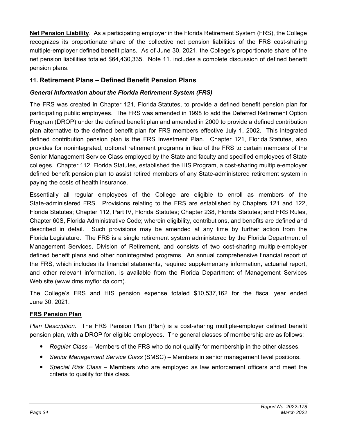**Net Pension Liability**. As a participating employer in the Florida Retirement System (FRS), the College recognizes its proportionate share of the collective net pension liabilities of the FRS cost-sharing multiple-employer defined benefit plans. As of June 30, 2021, the College's proportionate share of the net pension liabilities totaled \$64,430,335. Note 11. includes a complete discussion of defined benefit pension plans.

# **11. Retirement Plans – Defined Benefit Pension Plans**

# *General Information about the Florida Retirement System (FRS)*

The FRS was created in Chapter 121, Florida Statutes, to provide a defined benefit pension plan for participating public employees. The FRS was amended in 1998 to add the Deferred Retirement Option Program (DROP) under the defined benefit plan and amended in 2000 to provide a defined contribution plan alternative to the defined benefit plan for FRS members effective July 1, 2002. This integrated defined contribution pension plan is the FRS Investment Plan. Chapter 121, Florida Statutes, also provides for nonintegrated, optional retirement programs in lieu of the FRS to certain members of the Senior Management Service Class employed by the State and faculty and specified employees of State colleges. Chapter 112, Florida Statutes, established the HIS Program, a cost-sharing multiple-employer defined benefit pension plan to assist retired members of any State-administered retirement system in paying the costs of health insurance.

Essentially all regular employees of the College are eligible to enroll as members of the State-administered FRS. Provisions relating to the FRS are established by Chapters 121 and 122, Florida Statutes; Chapter 112, Part IV, Florida Statutes; Chapter 238, Florida Statutes; and FRS Rules, Chapter 60S, Florida Administrative Code; wherein eligibility, contributions, and benefits are defined and described in detail. Such provisions may be amended at any time by further action from the Florida Legislature. The FRS is a single retirement system administered by the Florida Department of Management Services, Division of Retirement, and consists of two cost-sharing multiple-employer defined benefit plans and other nonintegrated programs. An annual comprehensive financial report of the FRS, which includes its financial statements, required supplementary information, actuarial report, and other relevant information, is available from the Florida Department of Management Services Web site (www.dms.myflorida.com).

The College's FRS and HIS pension expense totaled \$10,537,162 for the fiscal year ended June 30, 2021.

# **FRS Pension Plan**

*Plan Description*. The FRS Pension Plan (Plan) is a cost-sharing multiple-employer defined benefit pension plan, with a DROP for eligible employees. The general classes of membership are as follows:

- *Regular Class* Members of the FRS who do not qualify for membership in the other classes.
- *Senior Management Service Class* (SMSC) Members in senior management level positions.
- *Special Risk Class* Members who are employed as law enforcement officers and meet the criteria to qualify for this class.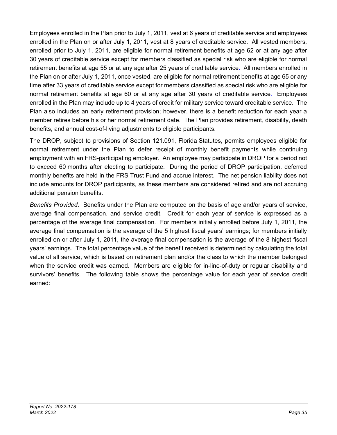Employees enrolled in the Plan prior to July 1, 2011, vest at 6 years of creditable service and employees enrolled in the Plan on or after July 1, 2011, vest at 8 years of creditable service. All vested members, enrolled prior to July 1, 2011, are eligible for normal retirement benefits at age 62 or at any age after 30 years of creditable service except for members classified as special risk who are eligible for normal retirement benefits at age 55 or at any age after 25 years of creditable service. All members enrolled in the Plan on or after July 1, 2011, once vested, are eligible for normal retirement benefits at age 65 or any time after 33 years of creditable service except for members classified as special risk who are eligible for normal retirement benefits at age 60 or at any age after 30 years of creditable service. Employees enrolled in the Plan may include up to 4 years of credit for military service toward creditable service. The Plan also includes an early retirement provision; however, there is a benefit reduction for each year a member retires before his or her normal retirement date. The Plan provides retirement, disability, death benefits, and annual cost-of-living adjustments to eligible participants.

The DROP, subject to provisions of Section 121.091, Florida Statutes, permits employees eligible for normal retirement under the Plan to defer receipt of monthly benefit payments while continuing employment with an FRS-participating employer. An employee may participate in DROP for a period not to exceed 60 months after electing to participate. During the period of DROP participation, deferred monthly benefits are held in the FRS Trust Fund and accrue interest. The net pension liability does not include amounts for DROP participants, as these members are considered retired and are not accruing additional pension benefits.

*Benefits Provided*. Benefits under the Plan are computed on the basis of age and/or years of service, average final compensation, and service credit. Credit for each year of service is expressed as a percentage of the average final compensation. For members initially enrolled before July 1, 2011, the average final compensation is the average of the 5 highest fiscal years' earnings; for members initially enrolled on or after July 1, 2011, the average final compensation is the average of the 8 highest fiscal years' earnings. The total percentage value of the benefit received is determined by calculating the total value of all service, which is based on retirement plan and/or the class to which the member belonged when the service credit was earned. Members are eligible for in-line-of-duty or regular disability and survivors' benefits. The following table shows the percentage value for each year of service credit earned: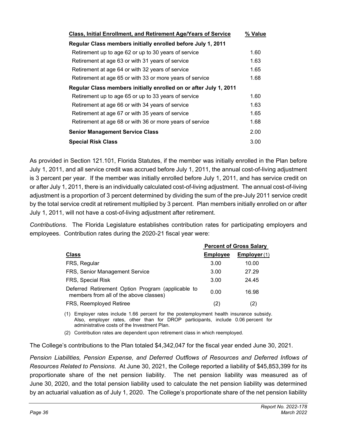| Class, Initial Enrollment, and Retirement Age/Years of Service    | % Value |
|-------------------------------------------------------------------|---------|
| Regular Class members initially enrolled before July 1, 2011      |         |
| Retirement up to age 62 or up to 30 years of service              | 1.60    |
| Retirement at age 63 or with 31 years of service                  | 1.63    |
| Retirement at age 64 or with 32 years of service                  | 1.65    |
| Retirement at age 65 or with 33 or more years of service          | 1.68    |
| Regular Class members initially enrolled on or after July 1, 2011 |         |
| Retirement up to age 65 or up to 33 years of service              | 1.60    |
| Retirement at age 66 or with 34 years of service                  | 1.63    |
| Retirement at age 67 or with 35 years of service                  | 1.65    |
| Retirement at age 68 or with 36 or more years of service          | 1.68    |
| <b>Senior Management Service Class</b>                            | 2.00    |
| <b>Special Risk Class</b>                                         | 3.00    |

As provided in Section 121.101, Florida Statutes, if the member was initially enrolled in the Plan before July 1, 2011, and all service credit was accrued before July 1, 2011, the annual cost-of-living adjustment is 3 percent per year. If the member was initially enrolled before July 1, 2011, and has service credit on or after July 1, 2011, there is an individually calculated cost-of-living adjustment. The annual cost-of-living adjustment is a proportion of 3 percent determined by dividing the sum of the pre-July 2011 service credit by the total service credit at retirement multiplied by 3 percent. Plan members initially enrolled on or after July 1, 2011, will not have a cost-of-living adjustment after retirement.

*Contributions*. The Florida Legislature establishes contribution rates for participating employers and employees. Contribution rates during the 2020-21 fiscal year were:

|                                                                                             | <b>Percent of Gross Salary</b> |                |
|---------------------------------------------------------------------------------------------|--------------------------------|----------------|
| <b>Class</b>                                                                                | <b>Employee</b>                | Employer $(1)$ |
| FRS, Regular                                                                                | 3.00                           | 10.00          |
| <b>FRS, Senior Management Service</b>                                                       | 3.00                           | 27.29          |
| FRS, Special Risk                                                                           | 3.00                           | 24.45          |
| Deferred Retirement Option Program (applicable to<br>members from all of the above classes) | 0.00                           | 16.98          |
| FRS, Reemployed Retiree                                                                     | (2)                            | (2)            |

(1) Employer rates include 1.66 percent for the postemployment health insurance subsidy. Also, employer rates, other than for DROP participants, include 0.06 percent for administrative costs of the Investment Plan.

(2) Contribution rates are dependent upon retirement class in which reemployed.

The College's contributions to the Plan totaled \$4,342,047 for the fiscal year ended June 30, 2021.

*Pension Liabilities, Pension Expense, and Deferred Outflows of Resources and Deferred Inflows of Resources Related to Pensions*. At June 30, 2021, the College reported a liability of \$45,853,399 for its proportionate share of the net pension liability. The net pension liability was measured as of June 30, 2020, and the total pension liability used to calculate the net pension liability was determined by an actuarial valuation as of July 1, 2020. The College's proportionate share of the net pension liability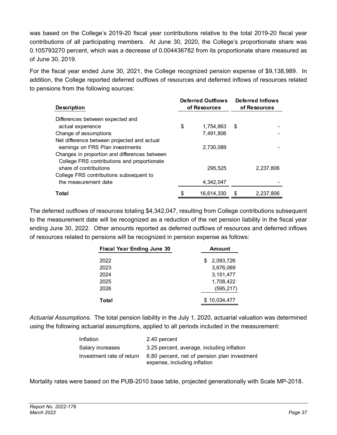was based on the College's 2019-20 fiscal year contributions relative to the total 2019-20 fiscal year contributions of all participating members. At June 30, 2020, the College's proportionate share was 0.105793270 percent, which was a decrease of 0.004436782 from its proportionate share measured as of June 30, 2019.

For the fiscal year ended June 30, 2021, the College recognized pension expense of \$9,138,989. In addition, the College reported deferred outflows of resources and deferred inflows of resources related to pensions from the following sources:

| <b>Description</b>                            | <b>Deferred Outflows</b><br>of Resources |            | <b>Deferred Inflows</b><br>of Resources |           |
|-----------------------------------------------|------------------------------------------|------------|-----------------------------------------|-----------|
| Differences between expected and              |                                          |            |                                         |           |
| actual experience                             | \$                                       | 1,754,863  | S                                       |           |
| Change of assumptions                         |                                          | 7,491,806  |                                         |           |
| Net difference between projected and actual   |                                          |            |                                         |           |
| earnings on FRS Plan investments              |                                          | 2,730,089  |                                         |           |
| Changes in proportion and differences between |                                          |            |                                         |           |
| College FRS contributions and proportionate   |                                          |            |                                         |           |
| share of contributions                        |                                          | 295,525    |                                         | 2,237,806 |
| College FRS contributions subsequent to       |                                          |            |                                         |           |
| the measurement date                          |                                          | 4,342,047  |                                         |           |
| Total                                         | \$                                       | 16.614.330 | \$.                                     | 2.237.806 |

The deferred outflows of resources totaling \$4,342,047, resulting from College contributions subsequent to the measurement date will be recognized as a reduction of the net pension liability in the fiscal year ending June 30, 2022. Other amounts reported as deferred outflows of resources and deferred inflows of resources related to pensions will be recognized in pension expense as follows:

| <b>Fiscal Year Ending June 30</b> | Amount         |
|-----------------------------------|----------------|
| 2022                              | 2,093,726<br>S |
| 2023                              | 3,676,069      |
| 2024                              | 3, 151, 477    |
| 2025                              | 1,708,422      |
| 2026                              | (595, 217)     |
| Total                             | \$10,034,477   |

*Actuarial Assumptions*. The total pension liability in the July 1, 2020, actuarial valuation was determined using the following actuarial assumptions, applied to all periods included in the measurement:

| Inflation                 | 2.40 percent                                                                 |
|---------------------------|------------------------------------------------------------------------------|
| Salary increases          | 3.25 percent, average, including inflation                                   |
| Investment rate of return | 6.80 percent, net of pension plan investment<br>expense, including inflation |

Mortality rates were based on the PUB-2010 base table, projected generationally with Scale MP-2018.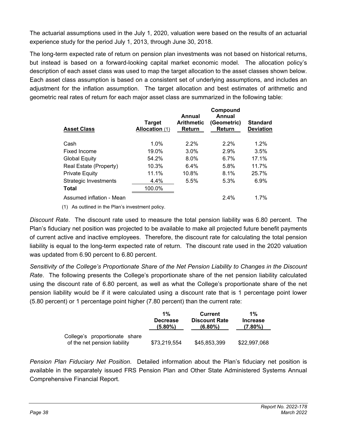The actuarial assumptions used in the July 1, 2020, valuation were based on the results of an actuarial experience study for the period July 1, 2013, through June 30, 2018.

The long-term expected rate of return on pension plan investments was not based on historical returns, but instead is based on a forward-looking capital market economic model. The allocation policy's description of each asset class was used to map the target allocation to the asset classes shown below. Each asset class assumption is based on a consistent set of underlying assumptions, and includes an adjustment for the inflation assumption. The target allocation and best estimates of arithmetic and geometric real rates of return for each major asset class are summarized in the following table:

| <b>Asset Class</b>           | <b>Target</b><br>Allocation (1) | Annual<br><b>Arithmetic</b><br>Return | Compound<br>Annual<br>(Geometric)<br>Return | <b>Standard</b><br><b>Deviation</b> |
|------------------------------|---------------------------------|---------------------------------------|---------------------------------------------|-------------------------------------|
| Cash                         | 1.0%                            | 2.2%                                  | 2.2%                                        | 1.2%                                |
| Fixed Income                 | 19.0%                           | 3.0%                                  | 2.9%                                        | 3.5%                                |
| <b>Global Equity</b>         | 54.2%                           | 8.0%                                  | 6.7%                                        | 17.1%                               |
| Real Estate (Property)       | 10.3%                           | 6.4%                                  | 5.8%                                        | 11.7%                               |
| <b>Private Equity</b>        | 11.1%                           | 10.8%                                 | 8.1%                                        | 25.7%                               |
| <b>Strategic Investments</b> | 4.4%                            | 5.5%                                  | 5.3%                                        | 6.9%                                |
| Total                        | 100.0%                          |                                       |                                             |                                     |
| Assumed inflation - Mean     |                                 |                                       | 2.4%                                        | 1.7%                                |

(1) As outlined in the Plan's investment policy.

*Discount Rate*. The discount rate used to measure the total pension liability was 6.80 percent. The Plan's fiduciary net position was projected to be available to make all projected future benefit payments of current active and inactive employees. Therefore, the discount rate for calculating the total pension liability is equal to the long-term expected rate of return. The discount rate used in the 2020 valuation was updated from 6.90 percent to 6.80 percent.

*Sensitivity of the College's Proportionate Share of the Net Pension Liability to Changes in the Discount Rate*. The following presents the College's proportionate share of the net pension liability calculated using the discount rate of 6.80 percent, as well as what the College's proportionate share of the net pension liability would be if it were calculated using a discount rate that is 1 percentage point lower (5.80 percent) or 1 percentage point higher (7.80 percent) than the current rate:

|                                                               | 1%              | <b>Current</b>       | 1%              |
|---------------------------------------------------------------|-----------------|----------------------|-----------------|
|                                                               | <b>Decrease</b> | <b>Discount Rate</b> | <b>Increase</b> |
|                                                               | $(5.80\%)$      | $(6.80\%)$           | $(7.80\%)$      |
| College's proportionate share<br>of the net pension liability | \$73,219,554    | \$45,853,399         | \$22,997,068    |

*Pension Plan Fiduciary Net Position*. Detailed information about the Plan's fiduciary net position is available in the separately issued FRS Pension Plan and Other State Administered Systems Annual Comprehensive Financial Report.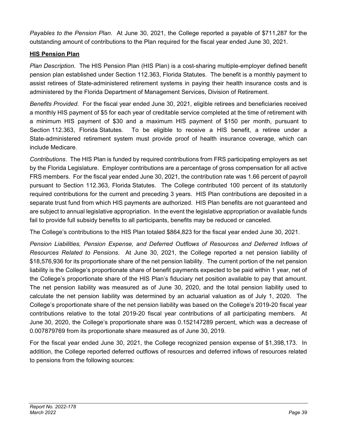*Payables to the Pension Plan*. At June 30, 2021, the College reported a payable of \$711,287 for the outstanding amount of contributions to the Plan required for the fiscal year ended June 30, 2021.

# **HIS Pension Plan**

*Plan Description*. The HIS Pension Plan (HIS Plan) is a cost-sharing multiple-employer defined benefit pension plan established under Section 112.363, Florida Statutes. The benefit is a monthly payment to assist retirees of State-administered retirement systems in paying their health insurance costs and is administered by the Florida Department of Management Services, Division of Retirement.

*Benefits Provided*. For the fiscal year ended June 30, 2021, eligible retirees and beneficiaries received a monthly HIS payment of \$5 for each year of creditable service completed at the time of retirement with a minimum HIS payment of \$30 and a maximum HIS payment of \$150 per month, pursuant to Section 112.363, Florida Statutes. To be eligible to receive a HIS benefit, a retiree under a State-administered retirement system must provide proof of health insurance coverage, which can include Medicare.

*Contributions*. The HIS Plan is funded by required contributions from FRS participating employers as set by the Florida Legislature. Employer contributions are a percentage of gross compensation for all active FRS members. For the fiscal year ended June 30, 2021, the contribution rate was 1.66 percent of payroll pursuant to Section 112.363, Florida Statutes. The College contributed 100 percent of its statutorily required contributions for the current and preceding 3 years. HIS Plan contributions are deposited in a separate trust fund from which HIS payments are authorized. HIS Plan benefits are not guaranteed and are subject to annual legislative appropriation. In the event the legislative appropriation or available funds fail to provide full subsidy benefits to all participants, benefits may be reduced or canceled.

The College's contributions to the HIS Plan totaled \$864,823 for the fiscal year ended June 30, 2021.

*Pension Liabilities, Pension Expense, and Deferred Outflows of Resources and Deferred Inflows of Resources Related to Pensions*. At June 30, 2021, the College reported a net pension liability of \$18,576,936 for its proportionate share of the net pension liability. The current portion of the net pension liability is the College's proportionate share of benefit payments expected to be paid within 1 year, net of the College's proportionate share of the HIS Plan's fiduciary net position available to pay that amount. The net pension liability was measured as of June 30, 2020, and the total pension liability used to calculate the net pension liability was determined by an actuarial valuation as of July 1, 2020. The College's proportionate share of the net pension liability was based on the College's 2019-20 fiscal year contributions relative to the total 2019-20 fiscal year contributions of all participating members. At June 30, 2020, the College's proportionate share was 0.152147289 percent, which was a decrease of 0.007879769 from its proportionate share measured as of June 30, 2019.

For the fiscal year ended June 30, 2021, the College recognized pension expense of \$1,398,173. In addition, the College reported deferred outflows of resources and deferred inflows of resources related to pensions from the following sources: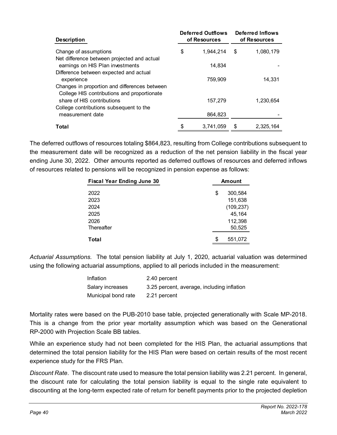| <b>Description</b>                                                                           | <b>Deferred Outflows</b><br>of Resources | <b>Deferred Inflows</b><br>of Resources |
|----------------------------------------------------------------------------------------------|------------------------------------------|-----------------------------------------|
| Change of assumptions                                                                        | \$<br>1.944.214                          | \$<br>1,080,179                         |
| Net difference between projected and actual<br>earnings on HIS Plan investments              | 14,834                                   |                                         |
| Difference between expected and actual<br>experience                                         | 759.909                                  | 14.331                                  |
| Changes in proportion and differences between<br>College HIS contributions and proportionate |                                          |                                         |
| share of HIS contributions                                                                   | 157,279                                  | 1,230,654                               |
| College contributions subsequent to the<br>measurement date                                  | 864.823                                  |                                         |
| Total                                                                                        | \$<br>3,741,059                          | \$<br>2,325,164                         |

The deferred outflows of resources totaling \$864,823, resulting from College contributions subsequent to the measurement date will be recognized as a reduction of the net pension liability in the fiscal year ending June 30, 2022. Other amounts reported as deferred outflows of resources and deferred inflows of resources related to pensions will be recognized in pension expense as follows:

| <b>Fiscal Year Ending June 30</b> |    | Amount     |  |
|-----------------------------------|----|------------|--|
| 2022                              | \$ | 300,584    |  |
| 2023                              |    | 151,638    |  |
| 2024                              |    | (109, 237) |  |
| 2025                              |    | 45,164     |  |
| 2026                              |    | 112,398    |  |
| Thereafter                        |    | 50,525     |  |
| <b>Total</b>                      | S  | 551,072    |  |

*Actuarial Assumptions.* The total pension liability at July 1, 2020, actuarial valuation was determined using the following actuarial assumptions, applied to all periods included in the measurement:

| Inflation           | 2.40 percent                               |
|---------------------|--------------------------------------------|
| Salary increases    | 3.25 percent, average, including inflation |
| Municipal bond rate | 2.21 percent                               |

Mortality rates were based on the PUB-2010 base table, projected generationally with Scale MP-2018. This is a change from the prior year mortality assumption which was based on the Generational RP-2000 with Projection Scale BB tables.

While an experience study had not been completed for the HIS Plan, the actuarial assumptions that determined the total pension liability for the HIS Plan were based on certain results of the most recent experience study for the FRS Plan.

*Discount Rate*. The discount rate used to measure the total pension liability was 2.21 percent. In general, the discount rate for calculating the total pension liability is equal to the single rate equivalent to discounting at the long-term expected rate of return for benefit payments prior to the projected depletion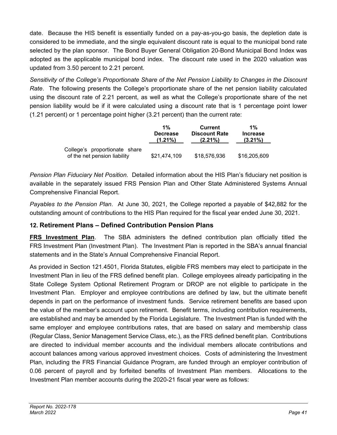date. Because the HIS benefit is essentially funded on a pay-as-you-go basis, the depletion date is considered to be immediate, and the single equivalent discount rate is equal to the municipal bond rate selected by the plan sponsor. The Bond Buyer General Obligation 20-Bond Municipal Bond Index was adopted as the applicable municipal bond index. The discount rate used in the 2020 valuation was updated from 3.50 percent to 2.21 percent.

*Sensitivity of the College's Proportionate Share of the Net Pension Liability to Changes in the Discount Rate*. The following presents the College's proportionate share of the net pension liability calculated using the discount rate of 2.21 percent, as well as what the College's proportionate share of the net pension liability would be if it were calculated using a discount rate that is 1 percentage point lower (1.21 percent) or 1 percentage point higher (3.21 percent) than the current rate:

|                                                               | 1%              | Current              | 1%              |
|---------------------------------------------------------------|-----------------|----------------------|-----------------|
|                                                               | <b>Decrease</b> | <b>Discount Rate</b> | <b>Increase</b> |
|                                                               | $(1.21\%)$      | $(2.21\%)$           | $(3.21\%)$      |
| College's proportionate share<br>of the net pension liability | \$21,474,109    | \$18,576,936         | \$16,205,609    |

*Pension Plan Fiduciary Net Position*. Detailed information about the HIS Plan's fiduciary net position is available in the separately issued FRS Pension Plan and Other State Administered Systems Annual Comprehensive Financial Report.

*Payables to the Pension Plan*. At June 30, 2021, the College reported a payable of \$42,882 for the outstanding amount of contributions to the HIS Plan required for the fiscal year ended June 30, 2021.

# **12. Retirement Plans – Defined Contribution Pension Plans**

**FRS Investment Plan**. The SBA administers the defined contribution plan officially titled the FRS Investment Plan (Investment Plan). The Investment Plan is reported in the SBA's annual financial statements and in the State's Annual Comprehensive Financial Report.

As provided in Section 121.4501, Florida Statutes, eligible FRS members may elect to participate in the Investment Plan in lieu of the FRS defined benefit plan. College employees already participating in the State College System Optional Retirement Program or DROP are not eligible to participate in the Investment Plan. Employer and employee contributions are defined by law, but the ultimate benefit depends in part on the performance of investment funds. Service retirement benefits are based upon the value of the member's account upon retirement. Benefit terms, including contribution requirements, are established and may be amended by the Florida Legislature. The Investment Plan is funded with the same employer and employee contributions rates, that are based on salary and membership class (Regular Class, Senior Management Service Class, etc.), as the FRS defined benefit plan. Contributions are directed to individual member accounts and the individual members allocate contributions and account balances among various approved investment choices. Costs of administering the Investment Plan, including the FRS Financial Guidance Program, are funded through an employer contribution of 0.06 percent of payroll and by forfeited benefits of Investment Plan members. Allocations to the Investment Plan member accounts during the 2020-21 fiscal year were as follows: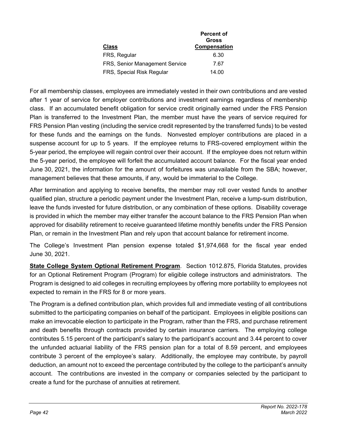|                                       | <b>Percent of</b> |
|---------------------------------------|-------------------|
|                                       | Gross             |
| <b>Class</b>                          | Compensation      |
| FRS, Regular                          | 6.30              |
| <b>FRS, Senior Management Service</b> | 7.67              |
| FRS, Special Risk Regular             | 14.00             |

For all membership classes, employees are immediately vested in their own contributions and are vested after 1 year of service for employer contributions and investment earnings regardless of membership class. If an accumulated benefit obligation for service credit originally earned under the FRS Pension Plan is transferred to the Investment Plan, the member must have the years of service required for FRS Pension Plan vesting (including the service credit represented by the transferred funds) to be vested for these funds and the earnings on the funds. Nonvested employer contributions are placed in a suspense account for up to 5 years. If the employee returns to FRS-covered employment within the 5-year period, the employee will regain control over their account. If the employee does not return within the 5-year period, the employee will forfeit the accumulated account balance. For the fiscal year ended June 30, 2021, the information for the amount of forfeitures was unavailable from the SBA; however, management believes that these amounts, if any, would be immaterial to the College.

After termination and applying to receive benefits, the member may roll over vested funds to another qualified plan, structure a periodic payment under the Investment Plan, receive a lump-sum distribution, leave the funds invested for future distribution, or any combination of these options. Disability coverage is provided in which the member may either transfer the account balance to the FRS Pension Plan when approved for disability retirement to receive guaranteed lifetime monthly benefits under the FRS Pension Plan, or remain in the Investment Plan and rely upon that account balance for retirement income.

The College's Investment Plan pension expense totaled \$1,974,668 for the fiscal year ended June 30, 2021.

**State College System Optional Retirement Program**. Section 1012.875, Florida Statutes, provides for an Optional Retirement Program (Program) for eligible college instructors and administrators. The Program is designed to aid colleges in recruiting employees by offering more portability to employees not expected to remain in the FRS for 8 or more years.

The Program is a defined contribution plan, which provides full and immediate vesting of all contributions submitted to the participating companies on behalf of the participant. Employees in eligible positions can make an irrevocable election to participate in the Program, rather than the FRS, and purchase retirement and death benefits through contracts provided by certain insurance carriers. The employing college contributes 5.15 percent of the participant's salary to the participant's account and 3.44 percent to cover the unfunded actuarial liability of the FRS pension plan for a total of 8.59 percent, and employees contribute 3 percent of the employee's salary. Additionally, the employee may contribute, by payroll deduction, an amount not to exceed the percentage contributed by the college to the participant's annuity account. The contributions are invested in the company or companies selected by the participant to create a fund for the purchase of annuities at retirement.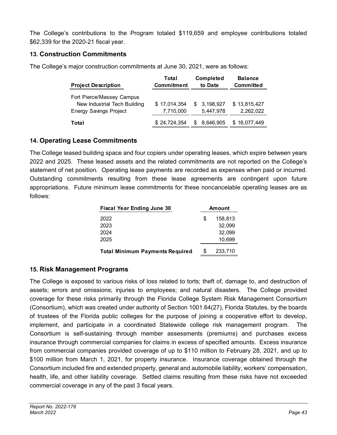The College's contributions to the Program totaled \$119,659 and employee contributions totaled \$62,339 for the 2020-21 fiscal year.

# **13. Construction Commitments**

The College's major construction commitments at June 30, 2021, were as follows:

| <b>Project Description</b>                                                                 | Total<br><b>Commitment</b> | <b>Completed</b><br>to Date | <b>Balance</b><br>Committed |  |  |
|--------------------------------------------------------------------------------------------|----------------------------|-----------------------------|-----------------------------|--|--|
| Fort Pierce/Massey Campus<br>New Industrial Tech Building<br><b>Energy Savings Project</b> | \$17,014,354<br>7,710,000  | \$3,198,927<br>5,447,978    | \$13,815,427<br>2,262,022   |  |  |
| Total                                                                                      | \$24,724,354               | 8,646,905<br>£.             | \$16,077,449                |  |  |

# **14. Operating Lease Commitments**

The College leased building space and four copiers under operating leases, which expire between years 2022 and 2025. These leased assets and the related commitments are not reported on the College's statement of net position. Operating lease payments are recorded as expenses when paid or incurred. Outstanding commitments resulting from these lease agreements are contingent upon future appropriations. Future minimum lease commitments for these noncancelable operating leases are as follows:

| <b>Fiscal Year Ending June 30</b>      |    | Amount  |  |  |  |
|----------------------------------------|----|---------|--|--|--|
| 2022                                   | S  | 158.813 |  |  |  |
| 2023                                   |    | 32,099  |  |  |  |
| 2024                                   |    | 32,099  |  |  |  |
| 2025                                   |    | 10,699  |  |  |  |
| <b>Total Minimum Payments Required</b> | \$ | 233,710 |  |  |  |

# **15. Risk Management Programs**

The College is exposed to various risks of loss related to torts; theft of, damage to, and destruction of assets; errors and omissions; injuries to employees; and natural disasters. The College provided coverage for these risks primarily through the Florida College System Risk Management Consortium (Consortium), which was created under authority of Section 1001.64(27), Florida Statutes, by the boards of trustees of the Florida public colleges for the purpose of joining a cooperative effort to develop, implement, and participate in a coordinated Statewide college risk management program. The Consortium is self-sustaining through member assessments (premiums) and purchases excess insurance through commercial companies for claims in excess of specified amounts. Excess insurance from commercial companies provided coverage of up to \$110 million to February 28, 2021, and up to \$100 million from March 1, 2021, for property insurance. Insurance coverage obtained through the Consortium included fire and extended property, general and automobile liability, workers' compensation, health, life, and other liability coverage. Settled claims resulting from these risks have not exceeded commercial coverage in any of the past 3 fiscal years.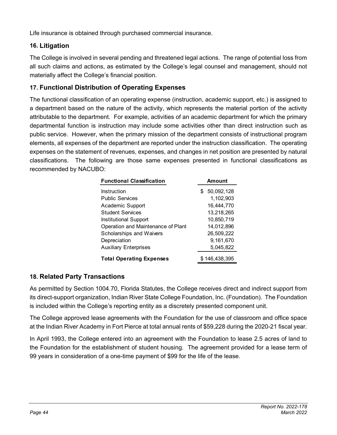Life insurance is obtained through purchased commercial insurance.

# **16. Litigation**

The College is involved in several pending and threatened legal actions. The range of potential loss from all such claims and actions, as estimated by the College's legal counsel and management, should not materially affect the College's financial position.

# **17. Functional Distribution of Operating Expenses**

The functional classification of an operating expense (instruction, academic support, etc.) is assigned to a department based on the nature of the activity, which represents the material portion of the activity attributable to the department. For example, activities of an academic department for which the primary departmental function is instruction may include some activities other than direct instruction such as public service. However, when the primary mission of the department consists of instructional program elements, all expenses of the department are reported under the instruction classification. The operating expenses on the statement of revenues, expenses, and changes in net position are presented by natural classifications. The following are those same expenses presented in functional classifications as recommended by NACUBO:

| <b>Functional Classification</b>   | Amount |               |  |  |  |
|------------------------------------|--------|---------------|--|--|--|
| Instruction                        | S      | 50,092,128    |  |  |  |
| <b>Public Services</b>             |        | 1.102.903     |  |  |  |
| Academic Support                   |        | 16,444,770    |  |  |  |
| <b>Student Services</b>            |        | 13,218,265    |  |  |  |
| Institutional Support              |        | 10,850,719    |  |  |  |
| Operation and Maintenance of Plant |        | 14,012,896    |  |  |  |
| Scholarships and Waivers           |        | 26,509,222    |  |  |  |
| Depreciation                       |        | 9,161,670     |  |  |  |
| <b>Auxiliary Enterprises</b>       |        | 5,045,822     |  |  |  |
| <b>Total Operating Expenses</b>    |        | \$146,438,395 |  |  |  |

# **18. Related Party Transactions**

As permitted by Section 1004.70, Florida Statutes, the College receives direct and indirect support from its direct-support organization, Indian River State College Foundation, Inc. (Foundation). The Foundation is included within the College's reporting entity as a discretely presented component unit.

The College approved lease agreements with the Foundation for the use of classroom and office space at the Indian River Academy in Fort Pierce at total annual rents of \$59,228 during the 2020-21 fiscal year.

In April 1993, the College entered into an agreement with the Foundation to lease 2.5 acres of land to the Foundation for the establishment of student housing. The agreement provided for a lease term of 99 years in consideration of a one-time payment of \$99 for the life of the lease.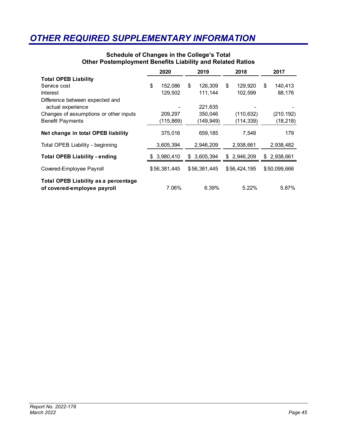# <span id="page-48-0"></span>*OTHER REQUIRED SUPPLEMENTARY INFORMATION*

|                                                                            | 2020<br>2019 |              | 2018 |              |    | 2017         |    |              |
|----------------------------------------------------------------------------|--------------|--------------|------|--------------|----|--------------|----|--------------|
| <b>Total OPEB Liability</b>                                                |              |              |      |              |    |              |    |              |
| Service cost                                                               | \$           | 152,086      | \$   | 126,309      | \$ | 129,920      | \$ | 140,413      |
| Interest                                                                   |              | 129,502      |      | 111,144      |    | 102,599      |    | 88,176       |
| Difference between expected and                                            |              |              |      |              |    |              |    |              |
| actual experience                                                          |              |              |      | 221,635      |    |              |    |              |
| Changes of assumptions or other inputs                                     |              | 209,297      |      | 350,046      |    | (110, 632)   |    | (210, 192)   |
| <b>Benefit Payments</b>                                                    |              | (115, 869)   |      | (149, 949)   |    | (114, 339)   |    | (18, 218)    |
| Net change in total OPEB liability                                         |              | 375,016      |      | 659,185      |    | 7,548        |    | 179          |
| Total OPEB Liability - beginning                                           |              | 3,605,394    |      | 2,946,209    |    | 2,938,661    |    | 2,938,482    |
| <b>Total OPEB Liability - ending</b>                                       |              | \$3,980,410  | \$.  | 3,605,394    |    | \$2,946,209  |    | \$2,938,661  |
| Covered-Employee Payroll                                                   |              | \$56,381,445 |      | \$56,381,445 |    | \$56,424,195 |    | \$50,099,666 |
| <b>Total OPEB Liability as a percentage</b><br>of covered-employee payroll |              | 7.06%        |      | 6.39%        |    | 5.22%        |    | 5.87%        |

## **Schedule of Changes in the College's Total Other Postemployment Benefits Liability and Related Ratios**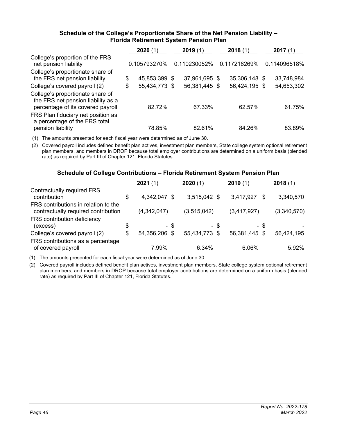#### **Schedule of the College's Proportionate Share of the Net Pension Liability – Florida Retirement System Pension Plan**

<span id="page-49-0"></span>

|                                                                                                             | 2020(1)             | 2019(1)       | 2018(1)       | 2017         |
|-------------------------------------------------------------------------------------------------------------|---------------------|---------------|---------------|--------------|
| College's proportion of the FRS<br>net pension liability<br>College's proportionate share of                | 0.105793270%        | 0.110230052%  | 0.117216269%  | 0.114096518% |
| the FRS net pension liability                                                                               | \$<br>45,853,399 \$ | 37,961,695 \$ | 35,306,148 \$ | 33,748,984   |
| College's covered payroll (2)                                                                               | \$<br>55,434,773 \$ | 56,381,445 \$ | 56,424,195 \$ | 54,653,302   |
| College's proportionate share of<br>the FRS net pension liability as a<br>percentage of its covered payroll | 82.72%              | 67.33%        | 62.57%        | 61.75%       |
| FRS Plan fiduciary net position as<br>a percentage of the FRS total<br>pension liability                    | 78.85%              | 82.61%        | 84.26%        | 83.89%       |

(1) The amounts presented for each fiscal year were determined as of June 30.

(2) Covered payroll includes defined benefit plan actives, investment plan members, State college system optional retirement plan members, and members in DROP because total employer contributions are determined on a uniform basis (blended rate) as required by Part III of Chapter 121, Florida Statutes.

#### **Schedule of College Contributions – Florida Retirement System Pension Plan**

|                                                                             | 2021(1)             | 2020(1)                  | 2019(1)       | 2018(1)     |
|-----------------------------------------------------------------------------|---------------------|--------------------------|---------------|-------------|
| <b>Contractually required FRS</b><br>contribution                           | \$<br>4,342,047 \$  | 3,515,042 \$             | 3,417,927     | 3,340,570   |
| FRS contributions in relation to the<br>contractually required contribution | (4,342,047)         | (3,515,042)              | (3,417,927)   | (3,340,570) |
| FRS contribution deficiency<br>(excess)                                     |                     | $\overline{\phantom{0}}$ |               |             |
| College's covered payroll (2)                                               | \$<br>54,356,206 \$ | 55,434,773 \$            | 56,381,445 \$ | 56,424,195  |
| FRS contributions as a percentage<br>of covered payroll                     | 7.99%               | 6.34%                    | 6.06%         | $5.92\%$    |

(1) The amounts presented for each fiscal year were determined as of June 30.

(2) Covered payroll includes defined benefit plan actives, investment plan members, State college system optional retirement plan members, and members in DROP because total employer contributions are determined on a uniform basis (blended rate) as required by Part III of Chapter 121, Florida Statutes.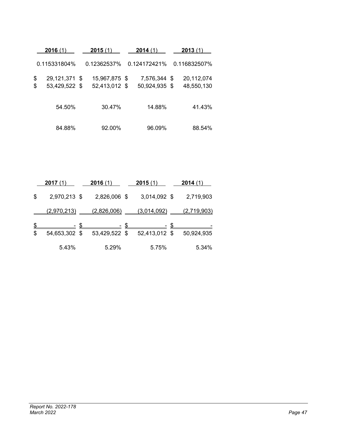|    | 2016(1)       | 2015(1)       | 2014(1)       | 2013 (1      |
|----|---------------|---------------|---------------|--------------|
|    | 0.115331804%  | 0.12362537%   | 0.124172421%  | 0.116832507% |
| \$ | 29,121,371 \$ | 15,967,875 \$ | 7,576,344 \$  | 20,112,074   |
| \$ | 53,429,522 \$ | 52,413,012 \$ | 50,924,935 \$ | 48,550,130   |
|    | 54.50%        | 30.47%        | 14.88%        | 41.43%       |
|    | 84.88%        | 92.00%        | 96.09%        | 88.54%       |

| 2017 (1             | 2016(1)       | 2015(1)       | 2014(              |
|---------------------|---------------|---------------|--------------------|
| \$<br>2,970,213 \$  | 2,826,006 \$  | 3,014,092 \$  | 2,719,903          |
| <u>(2,970,213)</u>  | (2,826,006)   | (3,014,092)   | <u>(2,719,903)</u> |
|                     |               |               |                    |
| \$<br>54,653,302 \$ | 53,429,522 \$ | 52,413,012 \$ | 50,924,935         |
| 5.43%               | 5.29%         | 5.75%         | 5.34%              |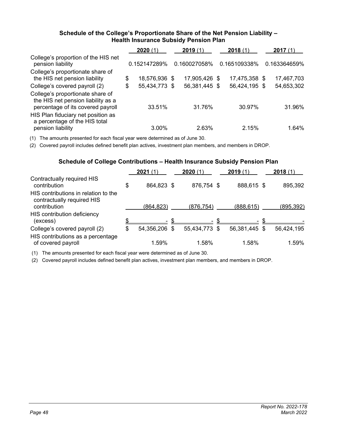### **Schedule of the College's Proportionate Share of the Net Pension Liability – Health Insurance Subsidy Pension Plan**

<span id="page-51-0"></span>

|                                                                                                             | 2020(1)             | 2019(1)       | 2018(1)       | 2017 (1      |
|-------------------------------------------------------------------------------------------------------------|---------------------|---------------|---------------|--------------|
| College's proportion of the HIS net<br>pension liability<br>College's proportionate share of                | 0.152147289%        | 0.160027058%  | 0.165109338%  | 0.163364659% |
| the HIS net pension liability                                                                               | \$<br>18,576,936 \$ | 17,905,426 \$ | 17,475,358 \$ | 17,467,703   |
| College's covered payroll (2)                                                                               | \$<br>55,434,773 \$ | 56,381,445 \$ | 56,424,195 \$ | 54,653,302   |
| College's proportionate share of<br>the HIS net pension liability as a<br>percentage of its covered payroll | 33.51%              | 31.76%        | 30.97%        | 31.96%       |
| HIS Plan fiduciary net position as<br>a percentage of the HIS total<br>pension liability                    | 3.00%               | 2.63%         | 2.15%         | 1.64%        |

(1) The amounts presented for each fiscal year were determined as of June 30.

(2) Covered payroll includes defined benefit plan actives, investment plan members, and members in DROP.

#### **Schedule of College Contributions – Health Insurance Subsidy Pension Plan**

|                                                                    | 2021(1)             | 2020(1)       | 2019(1)       | 2018(1)    |
|--------------------------------------------------------------------|---------------------|---------------|---------------|------------|
| Contractually required HIS<br>contribution                         | \$<br>864,823 \$    | 876,754 \$    | 888,615 \$    | 895,392    |
| HIS contributions in relation to the<br>contractually required HIS |                     |               |               |            |
| contribution                                                       | (864, 823)          | (876, 754)    | (888,615)     | (895, 392) |
| HIS contribution deficiency                                        |                     |               |               |            |
| (excess)                                                           |                     |               |               |            |
| College's covered payroll (2)                                      | \$<br>54,356,206 \$ | 55,434,773 \$ | 56,381,445 \$ | 56,424,195 |
| HIS contributions as a percentage<br>of covered payroll            | 1.59%               | 1.58%         | 1.58%         | 1.59%      |

(1) The amounts presented for each fiscal year were determined as of June 30.

(2) Covered payroll includes defined benefit plan actives, investment plan members, and members in DROP.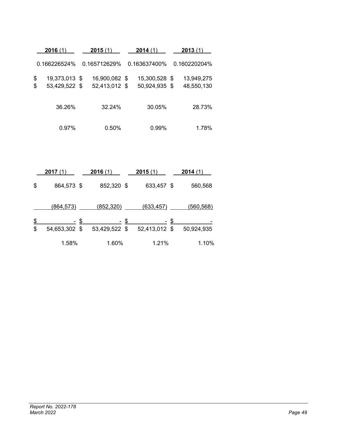|          | 2016(1)                        | 2015(1)                        | 2014(1)                        | 2013 (1                  |
|----------|--------------------------------|--------------------------------|--------------------------------|--------------------------|
|          | 0.166226524%                   | 0.165712629%                   | 0.163637400%                   | 0.160220204%             |
| \$<br>\$ | 19,373,013 \$<br>53,429,522 \$ | 16,900,082 \$<br>52,413,012 \$ | 15,300,528 \$<br>50,924,935 \$ | 13,949,275<br>48,550,130 |
|          | 36.26%                         | 32.24%                         | 30.05%                         | 28.73%                   |
|          | 0.97%                          | 0.50%                          | 0.99%                          | 1.78%                    |

| 2017(1)             | 2016(1)       | 2015(1)       | 2014(1)    |
|---------------------|---------------|---------------|------------|
| \$<br>864,573 \$    | 852,320 \$    | 633,457 \$    | 560,568    |
| (864, 573)          | (852, 320)    | (633, 457)    | (560,568)  |
|                     |               |               |            |
| \$<br>54,653,302 \$ | 53,429,522 \$ | 52,413,012 \$ | 50,924,935 |
| 1.58%               | 1.60%         | 1.21%         | 1.10%      |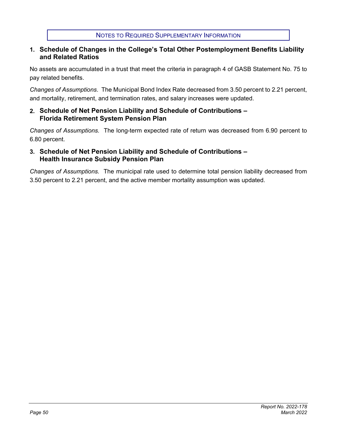# <span id="page-53-0"></span>**1. Schedule of Changes in the College's Total Other Postemployment Benefits Liability and Related Ratios**

No assets are accumulated in a trust that meet the criteria in paragraph 4 of GASB Statement No. 75 to pay related benefits.

*Changes of Assumptions*. The Municipal Bond Index Rate decreased from 3.50 percent to 2.21 percent, and mortality, retirement, and termination rates, and salary increases were updated.

# **2. Schedule of Net Pension Liability and Schedule of Contributions – Florida Retirement System Pension Plan**

*Changes of Assumptions.* The long-term expected rate of return was decreased from 6.90 percent to 6.80 percent.

# **3. Schedule of Net Pension Liability and Schedule of Contributions – Health Insurance Subsidy Pension Plan**

*Changes of Assumptions.* The municipal rate used to determine total pension liability decreased from 3.50 percent to 2.21 percent, and the active member mortality assumption was updated.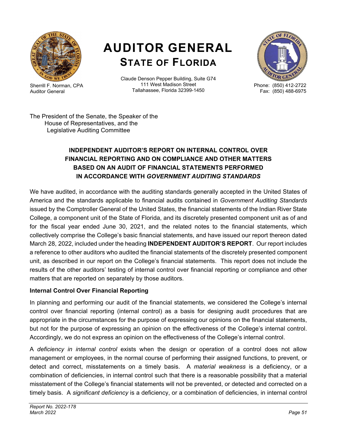<span id="page-54-0"></span>

Sherrill F. Norman, CPA Auditor General

# **AUDITOR GENERAL STATE OF FLORIDA**

Claude Denson Pepper Building, Suite G74 111 West Madison Street Tallahassee, Florida 32399-1450



Phone: (850) 412-2722 Fax: (850) 488-6975

The President of the Senate, the Speaker of the House of Representatives, and the Legislative Auditing Committee

# **INDEPENDENT AUDITOR'S REPORT ON INTERNAL CONTROL OVER FINANCIAL REPORTING AND ON COMPLIANCE AND OTHER MATTERS BASED ON AN AUDIT OF FINANCIAL STATEMENTS PERFORMED IN ACCORDANCE WITH** *GOVERNMENT AUDITING STANDARDS*

We have audited, in accordance with the auditing standards generally accepted in the United States of America and the standards applicable to financial audits contained in *Government Auditing Standards* issued by the Comptroller General of the United States, the financial statements of the Indian River State College, a component unit of the State of Florida, and its discretely presented component unit as of and for the fiscal year ended June 30, 2021, and the related notes to the financial statements, which collectively comprise the College's basic financial statements, and have issued our report thereon dated March 28, 2022, included under the heading **INDEPENDENT AUDITOR'S REPORT**. Our report includes a reference to other auditors who audited the financial statements of the discretely presented component unit, as described in our report on the College's financial statements. This report does not include the results of the other auditors' testing of internal control over financial reporting or compliance and other matters that are reported on separately by those auditors.

# **Internal Control Over Financial Reporting**

In planning and performing our audit of the financial statements, we considered the College's internal control over financial reporting (internal control) as a basis for designing audit procedures that are appropriate in the circumstances for the purpose of expressing our opinions on the financial statements, but not for the purpose of expressing an opinion on the effectiveness of the College's internal control. Accordingly, we do not express an opinion on the effectiveness of the College's internal control.

A *deficiency in internal control* exists when the design or operation of a control does not allow management or employees, in the normal course of performing their assigned functions, to prevent, or detect and correct, misstatements on a timely basis. A *material weakness* is a deficiency, or a combination of deficiencies, in internal control such that there is a reasonable possibility that a material misstatement of the College's financial statements will not be prevented, or detected and corrected on a timely basis. A *significant deficiency* is a deficiency, or a combination of deficiencies, in internal control